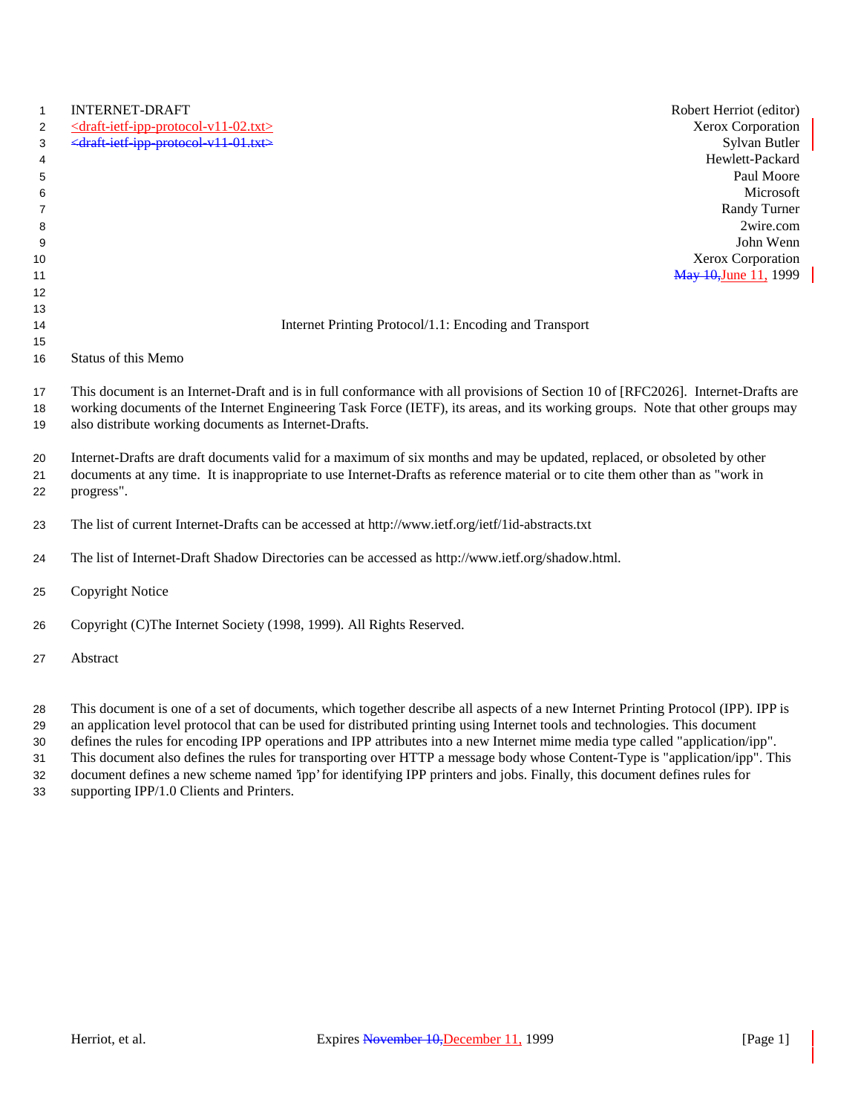| 1<br>2<br>3<br>4<br>5<br>6<br>7<br>8<br>9 | <b>INTERNET-DRAFT</b><br>Robert Herriot (editor)<br>Xerox Corporation<br>$\le$ draft-ietf-ipp-protocol-v11-02.txt><br><draft-ietf-ipp-protocol-v11-01.txt><br/>Sylvan Butler<br/>Hewlett-Packard<br/>Paul Moore<br/>Microsoft<br/>Randy Turner<br/>2wire.com<br/>John Wenn</draft-ietf-ipp-protocol-v11-01.txt>                                                                                                                                                                                                                                                                             |  |
|-------------------------------------------|---------------------------------------------------------------------------------------------------------------------------------------------------------------------------------------------------------------------------------------------------------------------------------------------------------------------------------------------------------------------------------------------------------------------------------------------------------------------------------------------------------------------------------------------------------------------------------------------|--|
| 10                                        | Xerox Corporation                                                                                                                                                                                                                                                                                                                                                                                                                                                                                                                                                                           |  |
| 11                                        | May 10, June 11, 1999                                                                                                                                                                                                                                                                                                                                                                                                                                                                                                                                                                       |  |
| 12                                        |                                                                                                                                                                                                                                                                                                                                                                                                                                                                                                                                                                                             |  |
| 13<br>14                                  | Internet Printing Protocol/1.1: Encoding and Transport                                                                                                                                                                                                                                                                                                                                                                                                                                                                                                                                      |  |
| 15                                        |                                                                                                                                                                                                                                                                                                                                                                                                                                                                                                                                                                                             |  |
| 16                                        | Status of this Memo                                                                                                                                                                                                                                                                                                                                                                                                                                                                                                                                                                         |  |
| 17<br>18<br>19<br>20<br>21                | This document is an Internet-Draft and is in full conformance with all provisions of Section 10 of [RFC2026]. Internet-Drafts are<br>working documents of the Internet Engineering Task Force (IETF), its areas, and its working groups. Note that other groups may<br>also distribute working documents as Internet-Drafts.<br>Internet-Drafts are draft documents valid for a maximum of six months and may be updated, replaced, or obsoleted by other<br>documents at any time. It is inappropriate to use Internet-Drafts as reference material or to cite them other than as "work in |  |
| 22                                        | progress".                                                                                                                                                                                                                                                                                                                                                                                                                                                                                                                                                                                  |  |
| 23                                        | The list of current Internet-Drafts can be accessed at http://www.ietf.org/ietf/1id-abstracts.txt                                                                                                                                                                                                                                                                                                                                                                                                                                                                                           |  |
| 24                                        | The list of Internet-Draft Shadow Directories can be accessed as http://www.ietf.org/shadow.html.                                                                                                                                                                                                                                                                                                                                                                                                                                                                                           |  |
| 25                                        | <b>Copyright Notice</b>                                                                                                                                                                                                                                                                                                                                                                                                                                                                                                                                                                     |  |
| 26                                        | Copyright (C)The Internet Society (1998, 1999). All Rights Reserved.                                                                                                                                                                                                                                                                                                                                                                                                                                                                                                                        |  |
| 27                                        | Abstract                                                                                                                                                                                                                                                                                                                                                                                                                                                                                                                                                                                    |  |
| 28                                        | This document is one of a set of documents, which together describe all aspects of a new Internet Printing Protocol (IPP). IPP is                                                                                                                                                                                                                                                                                                                                                                                                                                                           |  |

 an application level protocol that can be used for distributed printing using Internet tools and technologies. This document defines the rules for encoding IPP operations and IPP attributes into a new Internet mime media type called "application/ipp".

This document also defines the rules for transporting over HTTP a message body whose Content-Type is "application/ipp". This

document defines a new scheme named 'ipp' for identifying IPP printers and jobs. Finally, this document defines rules for

supporting IPP/1.0 Clients and Printers.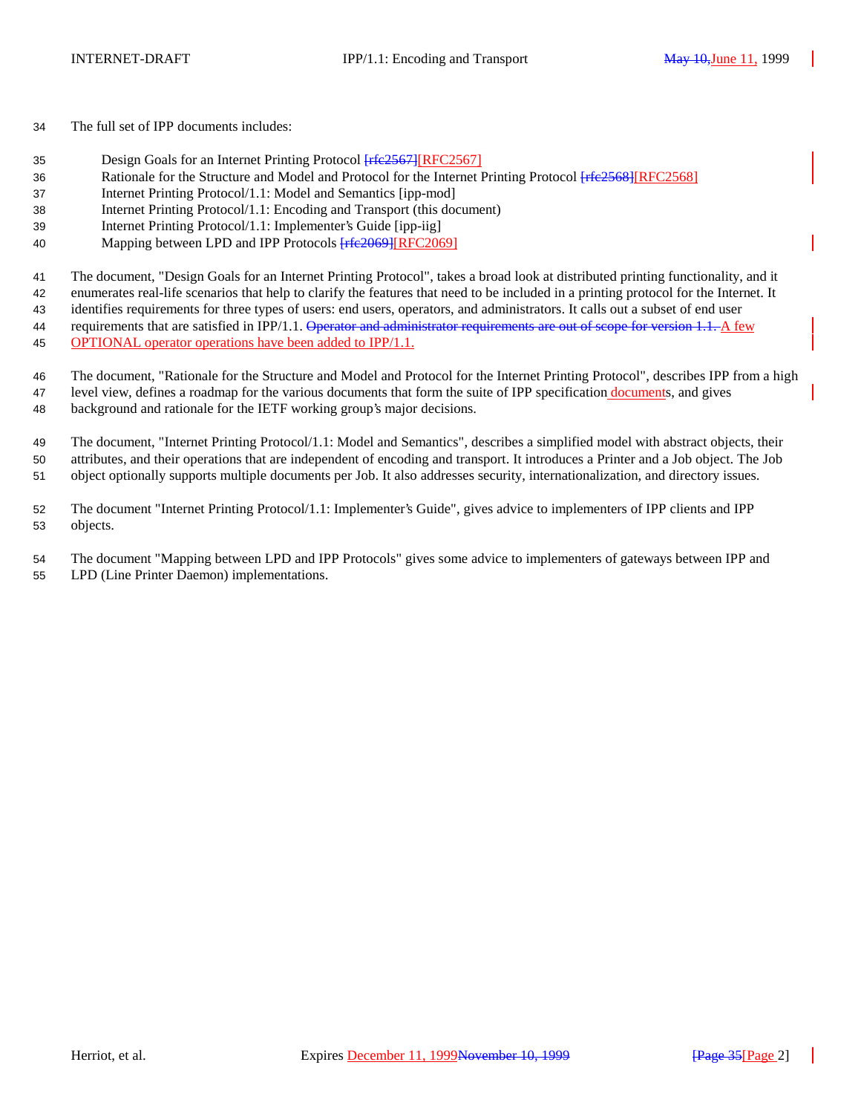The full set of IPP documents includes:

- 35 Design Goals for an Internet Printing Protocol  $Ff\left(\frac{2567}{RFC2567}\right)$
- 36 Rationale for the Structure and Model and Protocol for the Internet Printing Protocol [FIEE 2568][RFC2568]
- Internet Printing Protocol/1.1: Model and Semantics [ipp-mod]
- Internet Printing Protocol/1.1: Encoding and Transport (this document)
- Internet Printing Protocol/1.1: Implementer's Guide [ipp-iig]
- 40 Mapping between LPD and IPP Protocols  $Ff\rightarrow$  [RFC2069]

The document, "Design Goals for an Internet Printing Protocol", takes a broad look at distributed printing functionality, and it

enumerates real-life scenarios that help to clarify the features that need to be included in a printing protocol for the Internet. It

identifies requirements for three types of users: end users, operators, and administrators. It calls out a subset of end user

44 requirements that are satisfied in IPP/1.1. Operator and administrator requirements are out of scope for version 1.1. A few OPTIONAL operator operations have been added to IPP/1.1.

 The document, "Rationale for the Structure and Model and Protocol for the Internet Printing Protocol", describes IPP from a high level view, defines a roadmap for the various documents that form the suite of IPP specification documents, and gives background and rationale for the IETF working group's major decisions.

 The document, "Internet Printing Protocol/1.1: Model and Semantics", describes a simplified model with abstract objects, their attributes, and their operations that are independent of encoding and transport. It introduces a Printer and a Job object. The Job object optionally supports multiple documents per Job. It also addresses security, internationalization, and directory issues.

 The document "Internet Printing Protocol/1.1: Implementer's Guide", gives advice to implementers of IPP clients and IPP objects.

 The document "Mapping between LPD and IPP Protocols" gives some advice to implementers of gateways between IPP and LPD (Line Printer Daemon) implementations.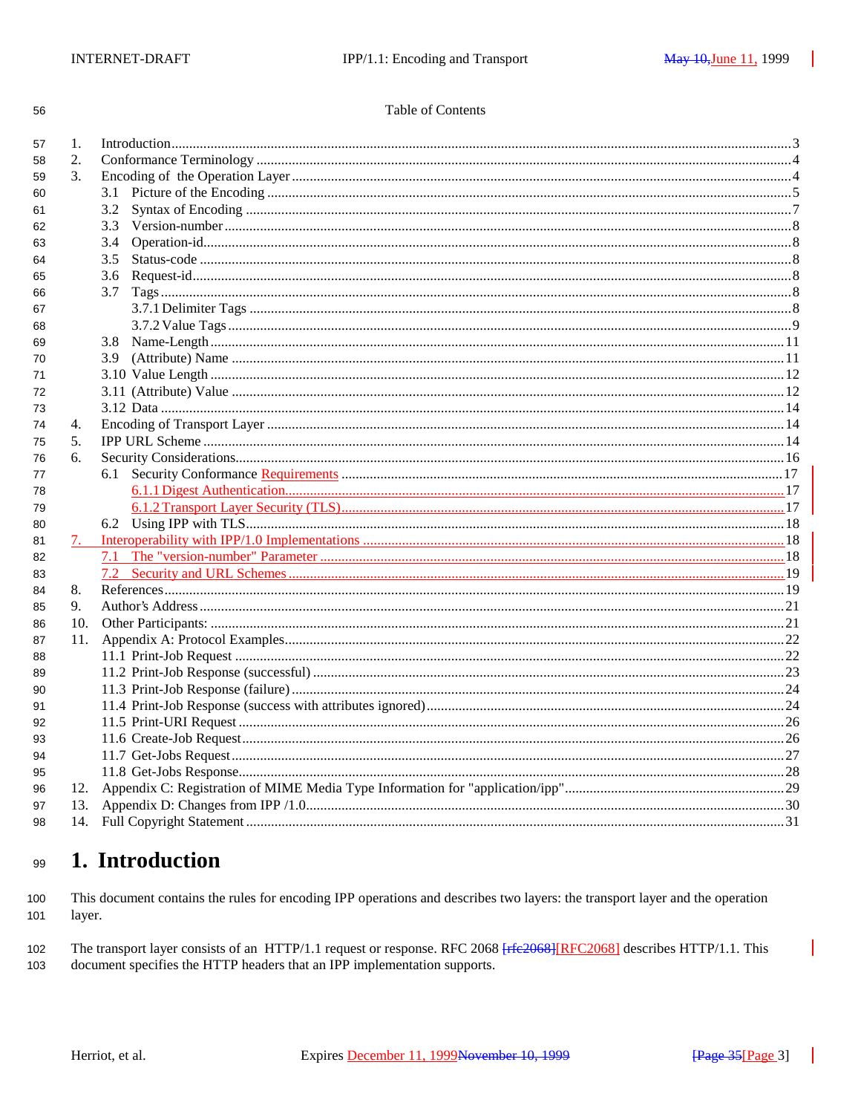| I | I<br>×  |
|---|---------|
| ٧ | ×<br>۰, |

## Table of Contents

| 57 | 1.  | Introduction 33 |  |  |  |
|----|-----|-----------------|--|--|--|
| 58 | 2.  |                 |  |  |  |
| 59 | 3.  |                 |  |  |  |
| 60 |     | 3.1             |  |  |  |
| 61 |     | 3.2             |  |  |  |
| 62 |     |                 |  |  |  |
| 63 |     | 3.4             |  |  |  |
| 64 |     | 3.5             |  |  |  |
| 65 |     | 3.6             |  |  |  |
| 66 |     | 3.7             |  |  |  |
| 67 |     |                 |  |  |  |
| 68 |     |                 |  |  |  |
| 69 |     | 3.8             |  |  |  |
| 70 |     | 3.9             |  |  |  |
| 71 |     |                 |  |  |  |
| 72 |     |                 |  |  |  |
| 73 |     |                 |  |  |  |
| 74 | 4.  |                 |  |  |  |
| 75 | 5.  |                 |  |  |  |
| 76 | 6.  |                 |  |  |  |
| 77 |     | 6.1             |  |  |  |
| 78 |     |                 |  |  |  |
| 79 |     |                 |  |  |  |
| 80 |     |                 |  |  |  |
| 81 |     |                 |  |  |  |
| 82 |     |                 |  |  |  |
| 83 |     |                 |  |  |  |
| 84 | 8.  |                 |  |  |  |
| 85 | 9.  |                 |  |  |  |
| 86 | 10. |                 |  |  |  |
| 87 | 11. |                 |  |  |  |
| 88 |     |                 |  |  |  |
| 89 |     |                 |  |  |  |
| 90 |     |                 |  |  |  |
| 91 |     |                 |  |  |  |
| 92 |     |                 |  |  |  |
| 93 |     |                 |  |  |  |
| 94 |     |                 |  |  |  |
| 95 |     |                 |  |  |  |
| 96 | 12. |                 |  |  |  |
| 97 | 13. |                 |  |  |  |
| 98 |     |                 |  |  |  |
|    |     |                 |  |  |  |

#### 1. Introduction 99

This document contains the rules for encoding IPP operations and describes two layers: the transport layer and the operation 100 layer. 101

102 The transport layer consists of an HTTP/1.1 request or response. RFC 2068 [rfe2068] [RFC2068] describes HTTP/1.1. This 103 document specifies the HTTP headers that an IPP implementation supports.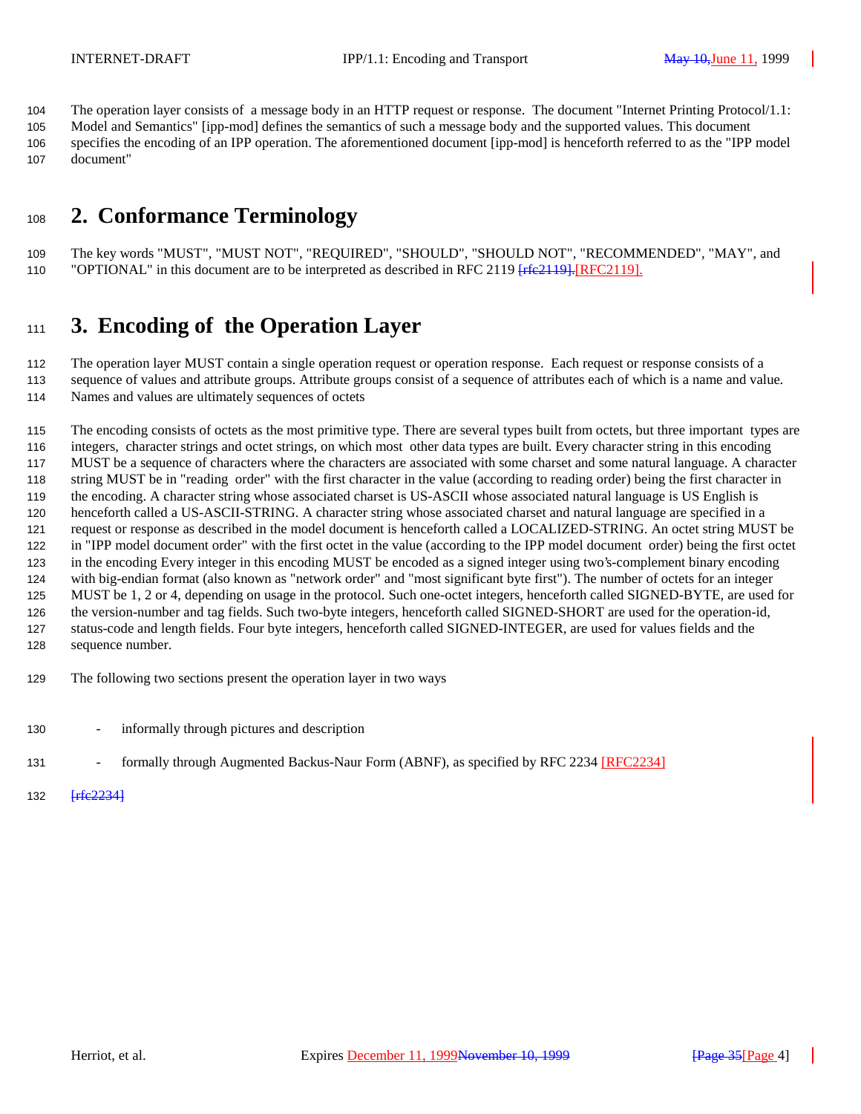The operation layer consists of a message body in an HTTP request or response. The document "Internet Printing Protocol/1.1: Model and Semantics" [ipp-mod] defines the semantics of such a message body and the supported values. This document

 specifies the encoding of an IPP operation. The aforementioned document [ipp-mod] is henceforth referred to as the "IPP model document"

# **2. Conformance Terminology**

 The key words "MUST", "MUST NOT", "REQUIRED", "SHOULD", "SHOULD NOT", "RECOMMENDED", "MAY", and 110 "OPTIONAL" in this document are to be interpreted as described in RFC 2119  $[refe2119]$ . [RFC2119].

# **3. Encoding of the Operation Layer**

 The operation layer MUST contain a single operation request or operation response. Each request or response consists of a sequence of values and attribute groups. Attribute groups consist of a sequence of attributes each of which is a name and value.

Names and values are ultimately sequences of octets

 The encoding consists of octets as the most primitive type. There are several types built from octets, but three important types are integers, character strings and octet strings, on which most other data types are built. Every character string in this encoding MUST be a sequence of characters where the characters are associated with some charset and some natural language. A character string MUST be in "reading order" with the first character in the value (according to reading order) being the first character in the encoding. A character string whose associated charset is US-ASCII whose associated natural language is US English is henceforth called a US-ASCII-STRING. A character string whose associated charset and natural language are specified in a request or response as described in the model document is henceforth called a LOCALIZED-STRING. An octet string MUST be in "IPP model document order" with the first octet in the value (according to the IPP model document order) being the first octet in the encoding Every integer in this encoding MUST be encoded as a signed integer using two's-complement binary encoding with big-endian format (also known as "network order" and "most significant byte first"). The number of octets for an integer MUST be 1, 2 or 4, depending on usage in the protocol. Such one-octet integers, henceforth called SIGNED-BYTE, are used for the version-number and tag fields. Such two-byte integers, henceforth called SIGNED-SHORT are used for the operation-id, status-code and length fields. Four byte integers, henceforth called SIGNED-INTEGER, are used for values fields and the sequence number.

- The following two sections present the operation layer in two ways
- informally through pictures and description
- 131 formally through Augmented Backus-Naur Form (ABNF), as specified by RFC 2234 [RFC2234]
- **[rfc2234]**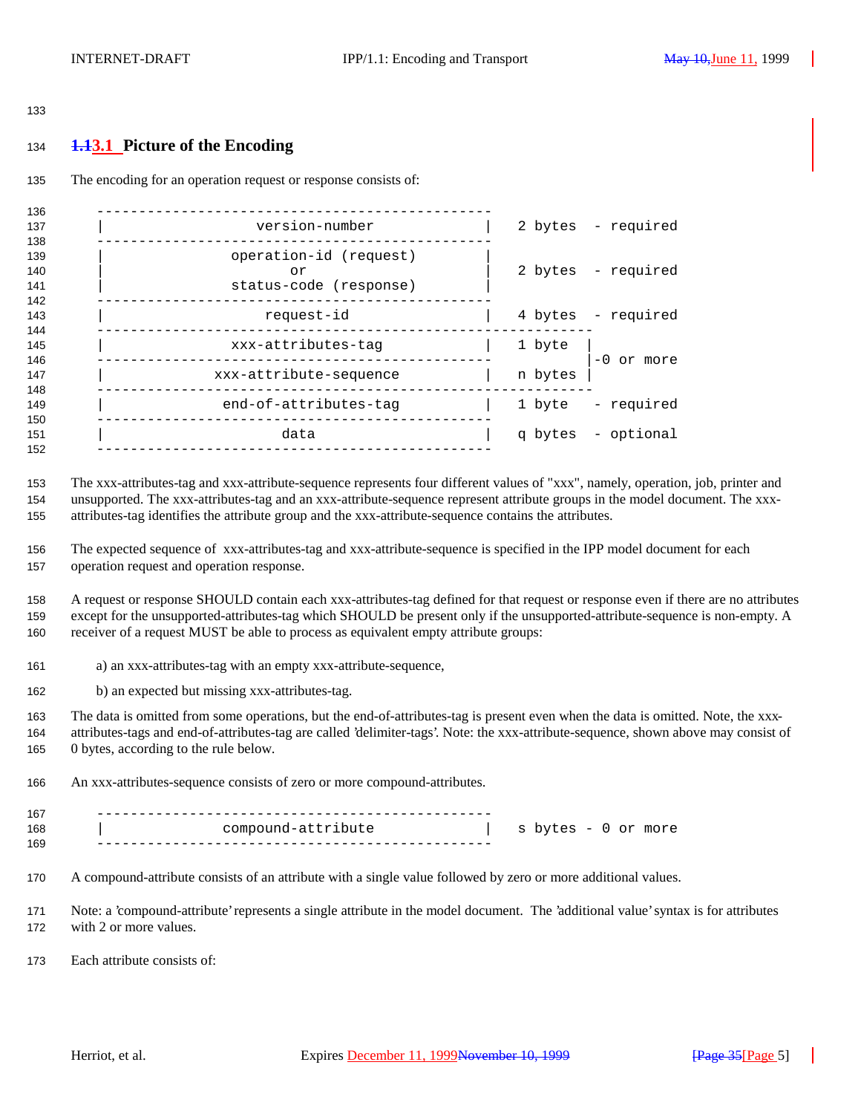#### 

## **1.13.1 Picture of the Encoding**

The encoding for an operation request or response consists of:

| 136<br>137        | version-number                                         |         | 2 bytes - required |
|-------------------|--------------------------------------------------------|---------|--------------------|
| 138               |                                                        |         |                    |
| 139<br>140<br>141 | operation-id (request)<br>or<br>status-code (response) |         | 2 bytes - required |
| 142<br>143<br>144 | request-id                                             |         | 4 bytes - required |
| 145<br>146        | xxx-attributes-tag                                     | 1 byte  | $-0$ or more       |
| 147<br>148        | xxx-attribute-sequence                                 | n bytes |                    |
| 149<br>150        | end-of-attributes-tag                                  | 1 byte  | - required         |
| 151<br>152        | data                                                   |         | q bytes - optional |
|                   |                                                        |         |                    |

 The xxx-attributes-tag and xxx-attribute-sequence represents four different values of "xxx", namely, operation, job, printer and unsupported. The xxx-attributes-tag and an xxx-attribute-sequence represent attribute groups in the model document. The xxx-attributes-tag identifies the attribute group and the xxx-attribute-sequence contains the attributes.

 The expected sequence of xxx-attributes-tag and xxx-attribute-sequence is specified in the IPP model document for each operation request and operation response.

 A request or response SHOULD contain each xxx-attributes-tag defined for that request or response even if there are no attributes except for the unsupported-attributes-tag which SHOULD be present only if the unsupported-attribute-sequence is non-empty. A receiver of a request MUST be able to process as equivalent empty attribute groups:

a) an xxx-attributes-tag with an empty xxx-attribute-sequence,

b) an expected but missing xxx-attributes-tag.

 The data is omitted from some operations, but the end-of-attributes-tag is present even when the data is omitted. Note, the xxx- attributes-tags and end-of-attributes-tag are called 'delimiter-tags'. Note: the xxx-attribute-sequence, shown above may consist of 0 bytes, according to the rule below.

An xxx-attributes-sequence consists of zero or more compound-attributes.

| 167 |                    |                     |  |  |
|-----|--------------------|---------------------|--|--|
| 168 | compound-attribute | s bytes - 0 or more |  |  |
| 169 |                    |                     |  |  |

A compound-attribute consists of an attribute with a single value followed by zero or more additional values.

 Note: a 'compound-attribute' represents a single attribute in the model document. The 'additional value' syntax is for attributes with 2 or more values.

Each attribute consists of: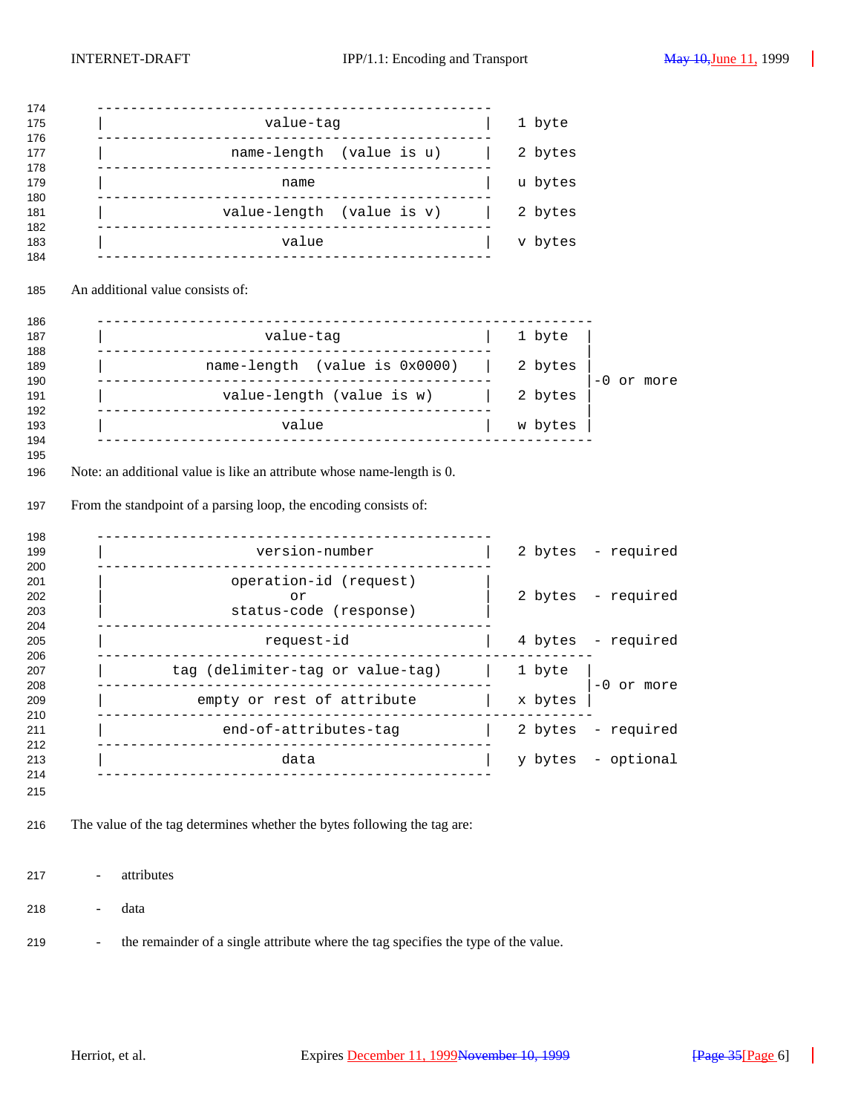| 174                      |                                                                                    |                         |
|--------------------------|------------------------------------------------------------------------------------|-------------------------|
| 175<br>176               | value-tag                                                                          | 1 byte                  |
| 177<br>178               | name-length (value is u)                                                           | 2 bytes                 |
| 179<br>180               | name<br>-------------                                                              | u bytes                 |
| 181                      | value-length (value is v)                                                          | 2 bytes                 |
| 182<br>183<br>184        | value                                                                              | v bytes                 |
| 185                      | An additional value consists of:                                                   |                         |
| 186<br>187               | -------------------------------<br>value-tag                                       | 1 byte                  |
| 188                      |                                                                                    |                         |
| 189<br>190               | name-length (value is 0x0000)                                                      | 2 bytes<br>-0 or more   |
| 191<br>192               | value-length (value is w)                                                          | 2 bytes                 |
| 193<br>194               | value                                                                              | w bytes                 |
| 197<br>198<br>199        | From the standpoint of a parsing loop, the encoding consists of:<br>version-number | 2 bytes - required      |
| 200<br>201<br>202<br>203 | operation-id (request)<br>or<br>status-code (response)                             | 2 bytes - required      |
| 204<br>205               | request-id                                                                         | 4 bytes - required      |
| 206<br>207               | tag (delimiter-tag or value-tag)                                                   | 1 byte                  |
| 208<br>209               | empty or rest of attribute                                                         | $-0$ or more<br>x bytes |
| 210<br>211               | ________________________<br>end-of-attributes-tag                                  | 2 bytes<br>- required   |
| 212<br>213               | -------------<br>-------------------<br>data                                       | y bytes<br>- optional   |
| 214<br>215               | __________________                                                                 |                         |
| 216                      | The value of the tag determines whether the bytes following the tag are:           |                         |
| 217                      | attributes<br>Ĭ.                                                                   |                         |
| 218                      | data<br>÷,                                                                         |                         |

- the remainder of a single attribute where the tag specifies the type of the value.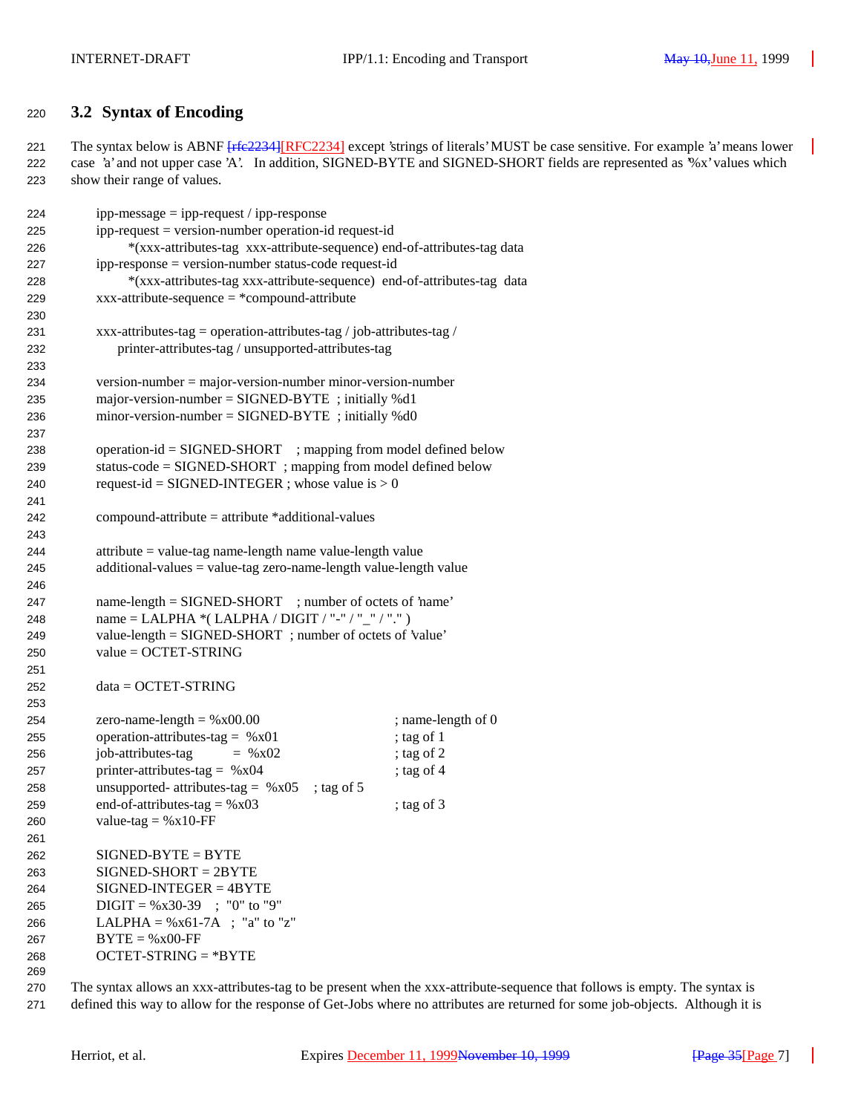## **3.2 Syntax of Encoding**

221 The syntax below is ABNF [rfc2234][RFC2234] except 'strings of literals' MUST be case sensitive. For example 'a' means lower case 'a' and not upper case 'A'. In addition, SIGNED-BYTE and SIGNED-SHORT fields are represented as '%x' values which show their range of values.

| 224 | $ipp-message = ipp-request / ipp-response$                              |                    |  |
|-----|-------------------------------------------------------------------------|--------------------|--|
| 225 | $ipp-request = version-number operation-id request-id$                  |                    |  |
| 226 | *(xxx-attributes-tag xxx-attribute-sequence) end-of-attributes-tag data |                    |  |
| 227 | ipp-response = version-number status-code request-id                    |                    |  |
| 228 | *(xxx-attributes-tag xxx-attribute-sequence) end-of-attributes-tag data |                    |  |
| 229 | $xxxx$ -attribute-sequence = *compound-attribute                        |                    |  |
| 230 |                                                                         |                    |  |
| 231 | xxx-attributes-tag = operation-attributes-tag / job-attributes-tag /    |                    |  |
| 232 | printer-attributes-tag / unsupported-attributes-tag                     |                    |  |
| 233 |                                                                         |                    |  |
| 234 | $version-number = major-version-number minor-version-number$            |                    |  |
| 235 | major-version-number = $SIGNED-BYTE$ ; initially %d1                    |                    |  |
| 236 | minor-version-number = $SIGNED-BYTE$ ; initially %d0                    |                    |  |
| 237 |                                                                         |                    |  |
| 238 | $operation-id = SIGNED-SHORT$ ; mapping from model defined below        |                    |  |
| 239 | status-code = SIGNED-SHORT ; mapping from model defined below           |                    |  |
| 240 | request-id = SIGNED-INTEGER ; whose value is $> 0$                      |                    |  |
| 241 |                                                                         |                    |  |
| 242 | $compound-attribute = attribute * additional-values$                    |                    |  |
| 243 |                                                                         |                    |  |
| 244 | attribute = value-tag name-length name value-length value               |                    |  |
| 245 | $additional-values = value-tag zero-name-length value-length value$     |                    |  |
| 246 |                                                                         |                    |  |
| 247 | name-length = SIGNED-SHORT ; number of octets of 'name'                 |                    |  |
| 248 | name = LALPHA *(LALPHA / DIGIT / "-" / "_" / ".")                       |                    |  |
| 249 | value-length = SIGNED-SHORT; number of octets of 'value'                |                    |  |
| 250 | value = OCTET-STRING                                                    |                    |  |
| 251 |                                                                         |                    |  |
| 252 | $data = OCTET-STRING$                                                   |                    |  |
| 253 |                                                                         |                    |  |
| 254 | zero-name-length = $%x00.00$                                            | ; name-length of 0 |  |
| 255 | operation-attributes-tag = $%x01$                                       | ; tag of 1         |  |
| 256 | job-attributes-tag<br>$=$ % x02                                         | ; tag of $2$       |  |
| 257 | printer-attributes-tag = $%x04$                                         | ; tag of 4         |  |
| 258 | unsupported- attributes-tag = $%x05$<br>; tag of $5$                    |                    |  |
| 259 | end-of-attributes-tag = $%x03$                                          | ; tag of $3$       |  |
| 260 | value-tag = $%x10$ -FF                                                  |                    |  |
| 261 |                                                                         |                    |  |
| 262 | $SIGNED-BYTE = BYTE$                                                    |                    |  |
| 263 | $SIGNED-SHORT = 2BYTE$                                                  |                    |  |
| 264 | $SIGNED-INTER = 4BYTE$                                                  |                    |  |
| 265 | $DIGIT = %x30-39$ ; "0" to "9"                                          |                    |  |
| 266 | LALPHA = $%x61-7A$ ; "a" to "z"                                         |                    |  |
| 267 | $BYTE = %x00-FF$                                                        |                    |  |
| 268 | $OCTET-STRING = *BYTE$                                                  |                    |  |
| 269 |                                                                         |                    |  |
|     |                                                                         |                    |  |

 The syntax allows an xxx-attributes-tag to be present when the xxx-attribute-sequence that follows is empty. The syntax is defined this way to allow for the response of Get-Jobs where no attributes are returned for some job-objects. Although it is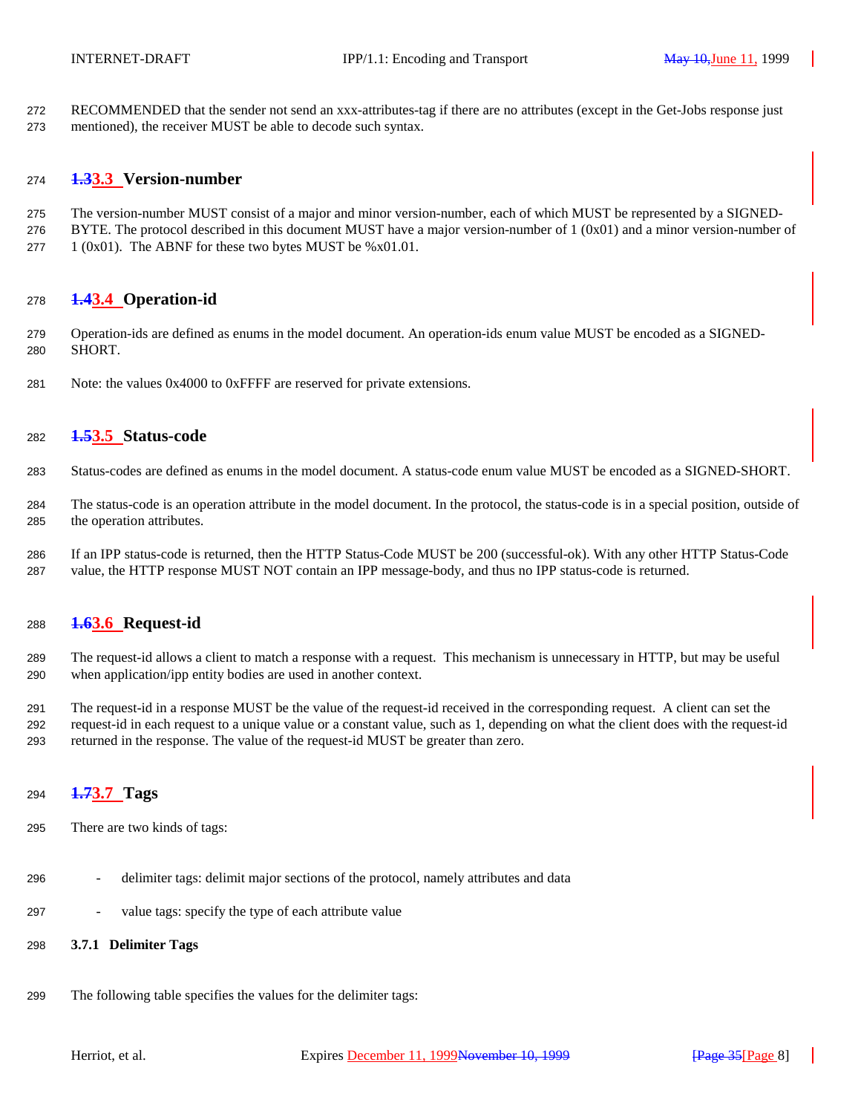RECOMMENDED that the sender not send an xxx-attributes-tag if there are no attributes (except in the Get-Jobs response just mentioned), the receiver MUST be able to decode such syntax.

## **1.33.3 Version-number**

- The version-number MUST consist of a major and minor version-number, each of which MUST be represented by a SIGNED-
- BYTE. The protocol described in this document MUST have a major version-number of  $1 (0x01)$  and a minor version-number of 277  $1 (0x01)$ . The ABNF for these two bytes MUST be %x01.01.

## **1.43.4 Operation-id**

- Operation-ids are defined as enums in the model document. An operation-ids enum value MUST be encoded as a SIGNED-SHORT.
- Note: the values 0x4000 to 0xFFFF are reserved for private extensions.

## **1.53.5 Status-code**

- Status-codes are defined as enums in the model document. A status-code enum value MUST be encoded as a SIGNED-SHORT.
- The status-code is an operation attribute in the model document. In the protocol, the status-code is in a special position, outside of the operation attributes.
- If an IPP status-code is returned, then the HTTP Status-Code MUST be 200 (successful-ok). With any other HTTP Status-Code value, the HTTP response MUST NOT contain an IPP message-body, and thus no IPP status-code is returned.

## **1.63.6 Request-id**

- The request-id allows a client to match a response with a request. This mechanism is unnecessary in HTTP, but may be useful when application/ipp entity bodies are used in another context.
- The request-id in a response MUST be the value of the request-id received in the corresponding request. A client can set the request-id in each request to a unique value or a constant value, such as 1, depending on what the client does with the request-id returned in the response. The value of the request-id MUST be greater than zero.

## **1.73.7 Tags**

- There are two kinds of tags:
- delimiter tags: delimit major sections of the protocol, namely attributes and data
- value tags: specify the type of each attribute value

## **3.7.1 Delimiter Tags**

The following table specifies the values for the delimiter tags: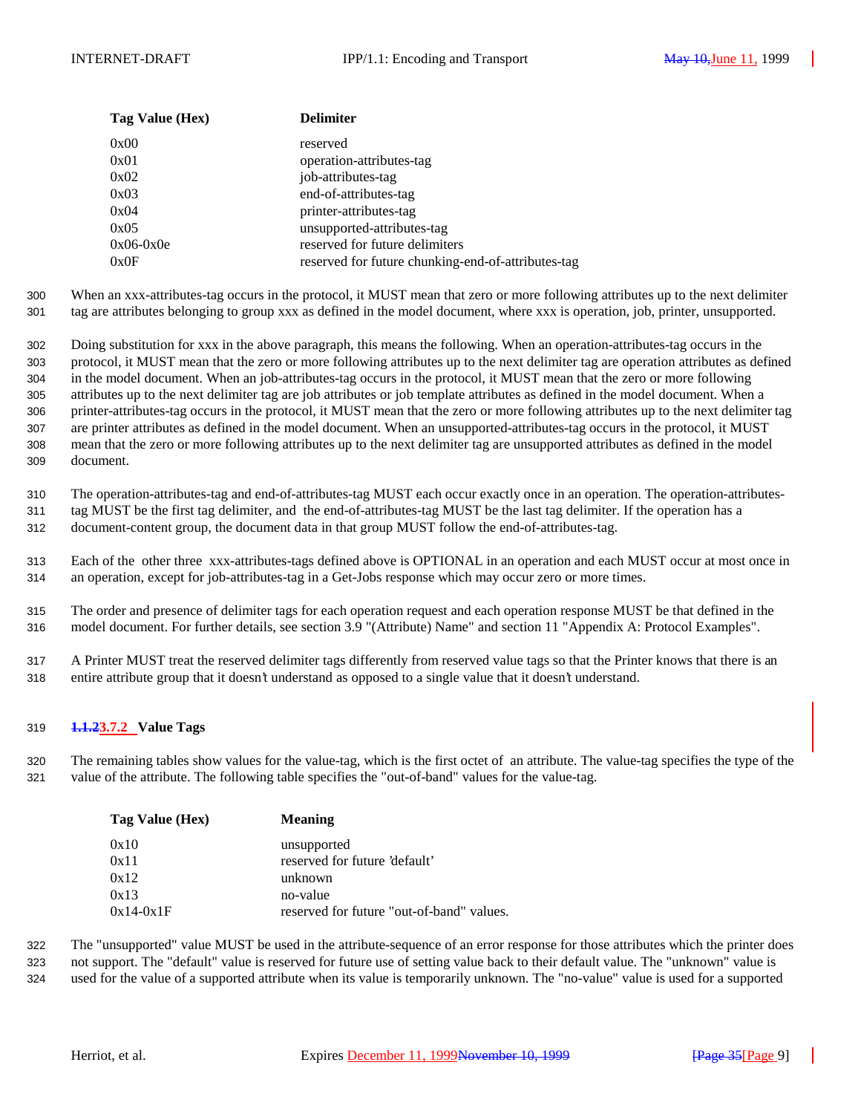| Tag Value (Hex) | <b>Delimiter</b>                                   |
|-----------------|----------------------------------------------------|
| 0x00            | reserved                                           |
| 0x01            | operation-attributes-tag                           |
| 0x02            | job-attributes-tag                                 |
| 0x03            | end-of-attributes-tag                              |
| 0x04            | printer-attributes-tag                             |
| 0x05            | unsupported-attributes-tag                         |
| $0x06-0x0e$     | reserved for future delimiters                     |
| 0x0F            | reserved for future chunking-end-of-attributes-tag |

300 When an xxx-attributes-tag occurs in the protocol, it MUST mean that zero or more following attributes up to the next delimiter 301 tag are attributes belonging to group xxx as defined in the model document, where xxx is operation, job, printer, unsupported.

 Doing substitution for xxx in the above paragraph, this means the following. When an operation-attributes-tag occurs in the protocol, it MUST mean that the zero or more following attributes up to the next delimiter tag are operation attributes as defined in the model document. When an job-attributes-tag occurs in the protocol, it MUST mean that the zero or more following attributes up to the next delimiter tag are job attributes or job template attributes as defined in the model document. When a printer-attributes-tag occurs in the protocol, it MUST mean that the zero or more following attributes up to the next delimiter tag are printer attributes as defined in the model document. When an unsupported-attributes-tag occurs in the protocol, it MUST mean that the zero or more following attributes up to the next delimiter tag are unsupported attributes as defined in the model document.

310 The operation-attributes-tag and end-of-attributes-tag MUST each occur exactly once in an operation. The operation-attributes-

311 tag MUST be the first tag delimiter, and the end-of-attributes-tag MUST be the last tag delimiter. If the operation has a

312 document-content group, the document data in that group MUST follow the end-of-attributes-tag.

313 Each of the other three xxx-attributes-tags defined above is OPTIONAL in an operation and each MUST occur at most once in 314 an operation, except for job-attributes-tag in a Get-Jobs response which may occur zero or more times.

315 The order and presence of delimiter tags for each operation request and each operation response MUST be that defined in the 316 model document. For further details, see section 3.9 "(Attribute) Name" and section 11 "Appendix A: Protocol Examples".

317 A Printer MUST treat the reserved delimiter tags differently from reserved value tags so that the Printer knows that there is an 318 entire attribute group that it doesn't understand as opposed to a single value that it doesn't understand.

## 319 **1.1.23.7.2 Value Tags**

320 The remaining tables show values for the value-tag, which is the first octet of an attribute. The value-tag specifies the type of the 321 value of the attribute. The following table specifies the "out-of-band" values for the value-tag.

| Tag Value (Hex) | <b>Meaning</b>                            |
|-----------------|-------------------------------------------|
| 0x10            | unsupported                               |
| 0x11            | reserved for future 'default'             |
| 0x12            | unknown                                   |
| 0x13            | no-value                                  |
| $0x14-0x1F$     | reserved for future "out-of-band" values. |

322 The "unsupported" value MUST be used in the attribute-sequence of an error response for those attributes which the printer does 323 not support. The "default" value is reserved for future use of setting value back to their default value. The "unknown" value is

324 used for the value of a supported attribute when its value is temporarily unknown. The "no-value" value is used for a supported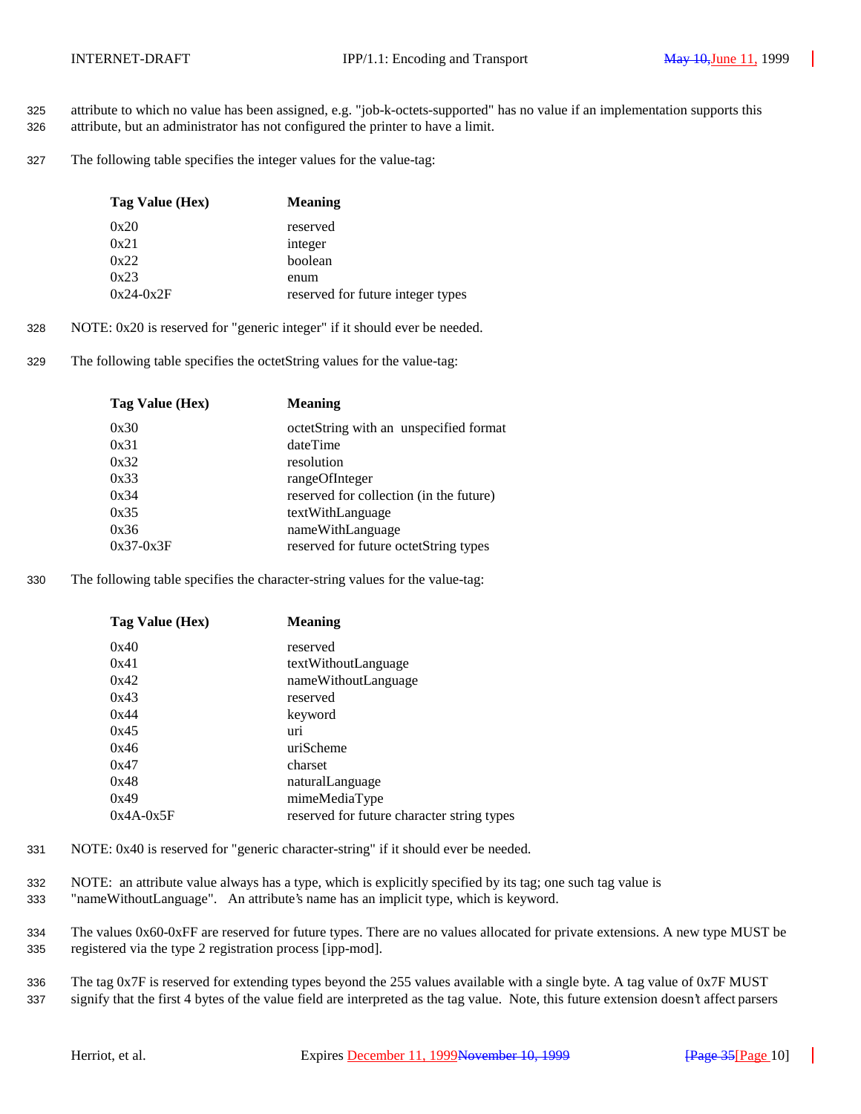- 325 attribute to which no value has been assigned, e.g. "job-k-octets-supported" has no value if an implementation supports this
- 326 attribute, but an administrator has not configured the printer to have a limit.
- 327 The following table specifies the integer values for the value-tag:

| Tag Value (Hex) | <b>Meaning</b>                    |
|-----------------|-----------------------------------|
| 0x20            | reserved                          |
| 0x21            | integer                           |
| 0x22            | boolean                           |
| 0x23            | enum                              |
| $0x24-0x2F$     | reserved for future integer types |

- 328 NOTE: 0x20 is reserved for "generic integer" if it should ever be needed.
- 329 The following table specifies the octetString values for the value-tag:

| Tag Value (Hex) | <b>Meaning</b>                          |
|-----------------|-----------------------------------------|
| 0x30            | octetString with an unspecified format  |
| 0x31            | dateTime                                |
| 0x32            | resolution                              |
| 0x33            | rangeOfInteger                          |
| 0x34            | reserved for collection (in the future) |
| 0x35            | textWithLanguage                        |
| 0x36            | nameWithLanguage                        |
| $0x37-0x3F$     | reserved for future octetString types   |
|                 |                                         |

330 The following table specifies the character-string values for the value-tag:

| Tag Value (Hex) | <b>Meaning</b>                             |
|-----------------|--------------------------------------------|
| 0x40            | reserved                                   |
| 0x41            | textWithoutLanguage                        |
| 0x42            | nameWithoutLanguage                        |
| 0x43            | reserved                                   |
| 0x44            | keyword                                    |
| 0x45            | uri                                        |
| 0x46            | uriScheme                                  |
| 0x47            | charset                                    |
| 0x48            | naturalLanguage                            |
| 0x49            | mimeMediaType                              |
| $0x4A-0x5F$     | reserved for future character string types |

- 331 NOTE: 0x40 is reserved for "generic character-string" if it should ever be needed.
- 332 NOTE: an attribute value always has a type, which is explicitly specified by its tag; one such tag value is
- 333 "nameWithoutLanguage". An attribute's name has an implicit type, which is keyword.
- 334 The values 0x60-0xFF are reserved for future types. There are no values allocated for private extensions. A new type MUST be 335 registered via the type 2 registration process [ipp-mod].
- 336 The tag 0x7F is reserved for extending types beyond the 255 values available with a single byte. A tag value of 0x7F MUST 337 signify that the first 4 bytes of the value field are interpreted as the tag value. Note, this future extension doesn't affect parsers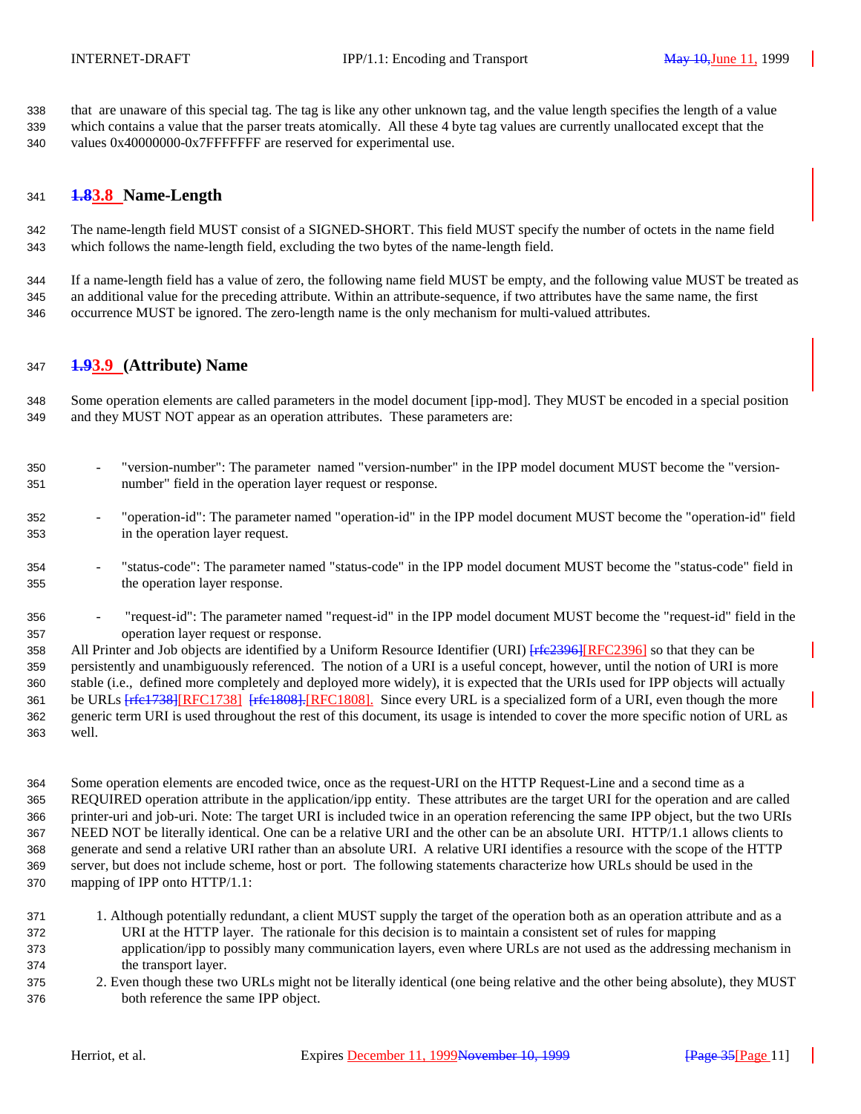that are unaware of this special tag. The tag is like any other unknown tag, and the value length specifies the length of a value which contains a value that the parser treats atomically. All these 4 byte tag values are currently unallocated except that the 340 values 0x40000000-0x7FFFFFFFF are reserved for experimental use.

## **1.83.8 Name-Length**

 The name-length field MUST consist of a SIGNED-SHORT. This field MUST specify the number of octets in the name field which follows the name-length field, excluding the two bytes of the name-length field.

 If a name-length field has a value of zero, the following name field MUST be empty, and the following value MUST be treated as an additional value for the preceding attribute. Within an attribute-sequence, if two attributes have the same name, the first occurrence MUST be ignored. The zero-length name is the only mechanism for multi-valued attributes.

## **1.93.9 (Attribute) Name**

 Some operation elements are called parameters in the model document [ipp-mod]. They MUST be encoded in a special position and they MUST NOT appear as an operation attributes. These parameters are:

- "version-number": The parameter named "version-number" in the IPP model document MUST become the "version-number" field in the operation layer request or response.
- "operation-id": The parameter named "operation-id" in the IPP model document MUST become the "operation-id" field in the operation layer request.
- "status-code": The parameter named "status-code" in the IPP model document MUST become the "status-code" field in the operation layer response.
- "request-id": The parameter named "request-id" in the IPP model document MUST become the "request-id" field in the operation layer request or response.

358 All Printer and Job objects are identified by a Uniform Resource Identifier (URI) [rfe2396][RFC2396] so that they can be persistently and unambiguously referenced. The notion of a URI is a useful concept, however, until the notion of URI is more stable (i.e., defined more completely and deployed more widely), it is expected that the URIs used for IPP objects will actually 361 be URLs  $\frac{f_{\text{ref}}}{f_{\text{ref}} + f_{\text{ref}} + f_{\text{ref}} + f_{\text{ref}} + f_{\text{ref}} + f_{\text{ref}} + f_{\text{ref}} + f_{\text{ref}} + f_{\text{ref}} + f_{\text{ref}} + f_{\text{ref}} + f_{\text{ref}} + f_{\text{ref}} + f_{\text{ref}} + f_{\text{ref}} + f_{\text{ref}} + f_{\text{ref}} + f_{\text{ref}} + f_{\text{ref}} + f_{\text{ref}} + f_{\text{ref}} + f_{\text{ref}} + f_{\text{ref}} + f_{\text{ref}} + f_{\text{ref$  generic term URI is used throughout the rest of this document, its usage is intended to cover the more specific notion of URL as well.

 Some operation elements are encoded twice, once as the request-URI on the HTTP Request-Line and a second time as a REQUIRED operation attribute in the application/ipp entity. These attributes are the target URI for the operation and are called printer-uri and job-uri. Note: The target URI is included twice in an operation referencing the same IPP object, but the two URIs NEED NOT be literally identical. One can be a relative URI and the other can be an absolute URI. HTTP/1.1 allows clients to generate and send a relative URI rather than an absolute URI. A relative URI identifies a resource with the scope of the HTTP server, but does not include scheme, host or port. The following statements characterize how URLs should be used in the mapping of IPP onto HTTP/1.1:

- 1. Although potentially redundant, a client MUST supply the target of the operation both as an operation attribute and as a URI at the HTTP layer. The rationale for this decision is to maintain a consistent set of rules for mapping application/ipp to possibly many communication layers, even where URLs are not used as the addressing mechanism in the transport layer.
- 2. Even though these two URLs might not be literally identical (one being relative and the other being absolute), they MUST both reference the same IPP object.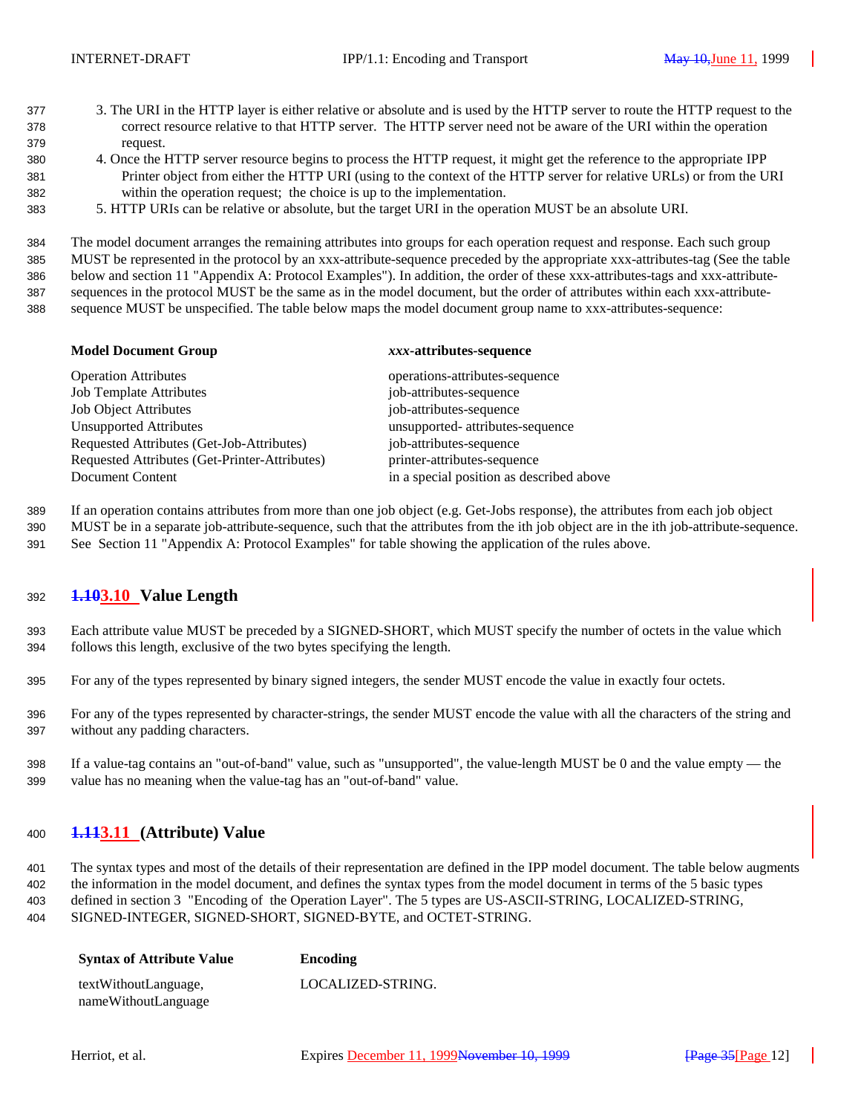- 3. The URI in the HTTP layer is either relative or absolute and is used by the HTTP server to route the HTTP request to the correct resource relative to that HTTP server. The HTTP server need not be aware of the URI within the operation request.
- 4. Once the HTTP server resource begins to process the HTTP request, it might get the reference to the appropriate IPP Printer object from either the HTTP URI (using to the context of the HTTP server for relative URLs) or from the URI within the operation request; the choice is up to the implementation.
- 5. HTTP URIs can be relative or absolute, but the target URI in the operation MUST be an absolute URI.

 The model document arranges the remaining attributes into groups for each operation request and response. Each such group MUST be represented in the protocol by an xxx-attribute-sequence preceded by the appropriate xxx-attributes-tag (See the table below and section 11 "Appendix A: Protocol Examples"). In addition, the order of these xxx-attributes-tags and xxx-attribute- sequences in the protocol MUST be the same as in the model document, but the order of attributes within each xxx-attribute-sequence MUST be unspecified. The table below maps the model document group name to xxx-attributes-sequence:

|  | <b>Model Document Group</b> |  |
|--|-----------------------------|--|
|--|-----------------------------|--|

#### **Model Document Group** *xxx***-attributes-sequence**

| <b>Operation Attributes</b>                   | operations-attributes-sequence           |
|-----------------------------------------------|------------------------------------------|
| <b>Job Template Attributes</b>                | job-attributes-sequence                  |
| <b>Job Object Attributes</b>                  | job-attributes-sequence                  |
| <b>Unsupported Attributes</b>                 | unsupported- attributes-sequence         |
| Requested Attributes (Get-Job-Attributes)     | job-attributes-sequence                  |
| Requested Attributes (Get-Printer-Attributes) | printer-attributes-sequence              |
| Document Content                              | in a special position as described above |
|                                               |                                          |

If an operation contains attributes from more than one job object (e.g. Get-Jobs response), the attributes from each job object

MUST be in a separate job-attribute-sequence, such that the attributes from the ith job object are in the ith job-attribute-sequence.

See Section 11 "Appendix A: Protocol Examples" for table showing the application of the rules above.

## **1.103.10 Value Length**

- Each attribute value MUST be preceded by a SIGNED-SHORT, which MUST specify the number of octets in the value which follows this length, exclusive of the two bytes specifying the length.
- For any of the types represented by binary signed integers, the sender MUST encode the value in exactly four octets.
- For any of the types represented by character-strings, the sender MUST encode the value with all the characters of the string and without any padding characters.
- If a value-tag contains an "out-of-band" value, such as "unsupported", the value-length MUST be 0 and the value empty the value has no meaning when the value-tag has an "out-of-band" value.

## **1.113.11 (Attribute) Value**

 The syntax types and most of the details of their representation are defined in the IPP model document. The table below augments the information in the model document, and defines the syntax types from the model document in terms of the 5 basic types defined in section 3 "Encoding of the Operation Layer". The 5 types are US-ASCII-STRING, LOCALIZED-STRING, SIGNED-INTEGER, SIGNED-SHORT, SIGNED-BYTE, and OCTET-STRING.

| <b>Syntax of Attribute Value</b> | Encoding          |
|----------------------------------|-------------------|
| textWithoutLanguage,             | LOCALIZED-STRING. |
| nameWithoutLanguage              |                   |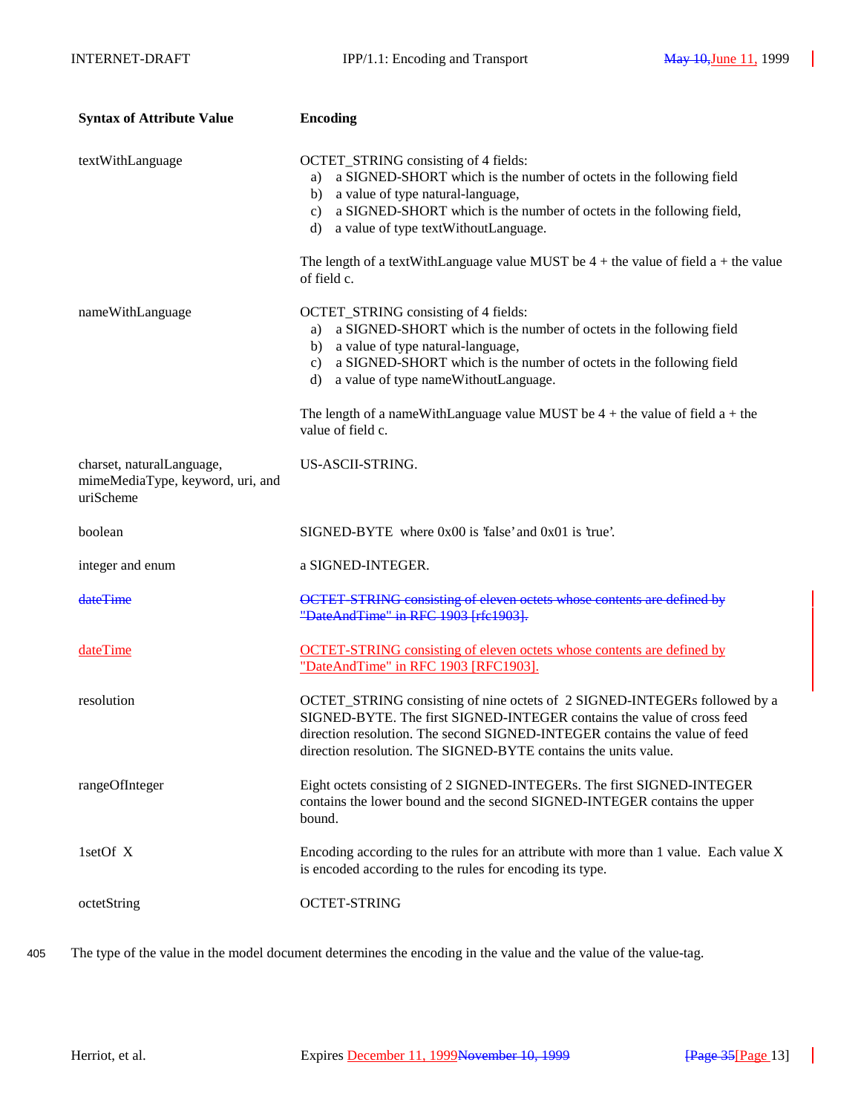| <b>Syntax of Attribute Value</b>                                           | <b>Encoding</b>                                                                                                                                                                                                                                                                                                                                                                                               |
|----------------------------------------------------------------------------|---------------------------------------------------------------------------------------------------------------------------------------------------------------------------------------------------------------------------------------------------------------------------------------------------------------------------------------------------------------------------------------------------------------|
| textWithLanguage                                                           | OCTET_STRING consisting of 4 fields:<br>a SIGNED-SHORT which is the number of octets in the following field<br>a)<br>a value of type natural-language,<br>b)<br>a SIGNED-SHORT which is the number of octets in the following field,<br>$\mathbf{c}$ )<br>a value of type textWithoutLanguage.<br>d)<br>The length of a textWithLanguage value MUST be $4 +$ the value of field a + the value<br>of field c.  |
| nameWithLanguage                                                           | OCTET_STRING consisting of 4 fields:<br>a SIGNED-SHORT which is the number of octets in the following field<br>a)<br>a value of type natural-language,<br>b)<br>a SIGNED-SHORT which is the number of octets in the following field<br>$\mathbf{c}$ )<br>a value of type nameWithoutLanguage.<br>d)<br>The length of a nameWithLanguage value MUST be $4 +$ the value of field $a +$ the<br>value of field c. |
| charset, naturalLanguage,<br>mimeMediaType, keyword, uri, and<br>uriScheme | US-ASCII-STRING.                                                                                                                                                                                                                                                                                                                                                                                              |
| boolean                                                                    | $SIGNED-BYTE$ where $0x00$ is 'false' and $0x01$ is 'true'.                                                                                                                                                                                                                                                                                                                                                   |
| integer and enum                                                           | a SIGNED-INTEGER.                                                                                                                                                                                                                                                                                                                                                                                             |
| dateTime                                                                   | OCTET-STRING consisting of eleven octets whose contents are defined by<br>"DateAndTime" in RFC 1903 [rfc1903].                                                                                                                                                                                                                                                                                                |
| dateTime                                                                   | <b>OCTET-STRING</b> consisting of eleven octets whose contents are defined by<br>"DateAndTime" in RFC 1903 [RFC1903].                                                                                                                                                                                                                                                                                         |
| resolution                                                                 | OCTET_STRING consisting of nine octets of 2 SIGNED-INTEGERs followed by a<br>SIGNED-BYTE. The first SIGNED-INTEGER contains the value of cross feed<br>direction resolution. The second SIGNED-INTEGER contains the value of feed<br>direction resolution. The SIGNED-BYTE contains the units value.                                                                                                          |
| rangeOfInteger                                                             | Eight octets consisting of 2 SIGNED-INTEGERs. The first SIGNED-INTEGER<br>contains the lower bound and the second SIGNED-INTEGER contains the upper<br>bound.                                                                                                                                                                                                                                                 |
| 1setOf X                                                                   | Encoding according to the rules for an attribute with more than 1 value. Each value X<br>is encoded according to the rules for encoding its type.                                                                                                                                                                                                                                                             |
| octetString                                                                | <b>OCTET-STRING</b>                                                                                                                                                                                                                                                                                                                                                                                           |

405 The type of the value in the model document determines the encoding in the value and the value of the value-tag.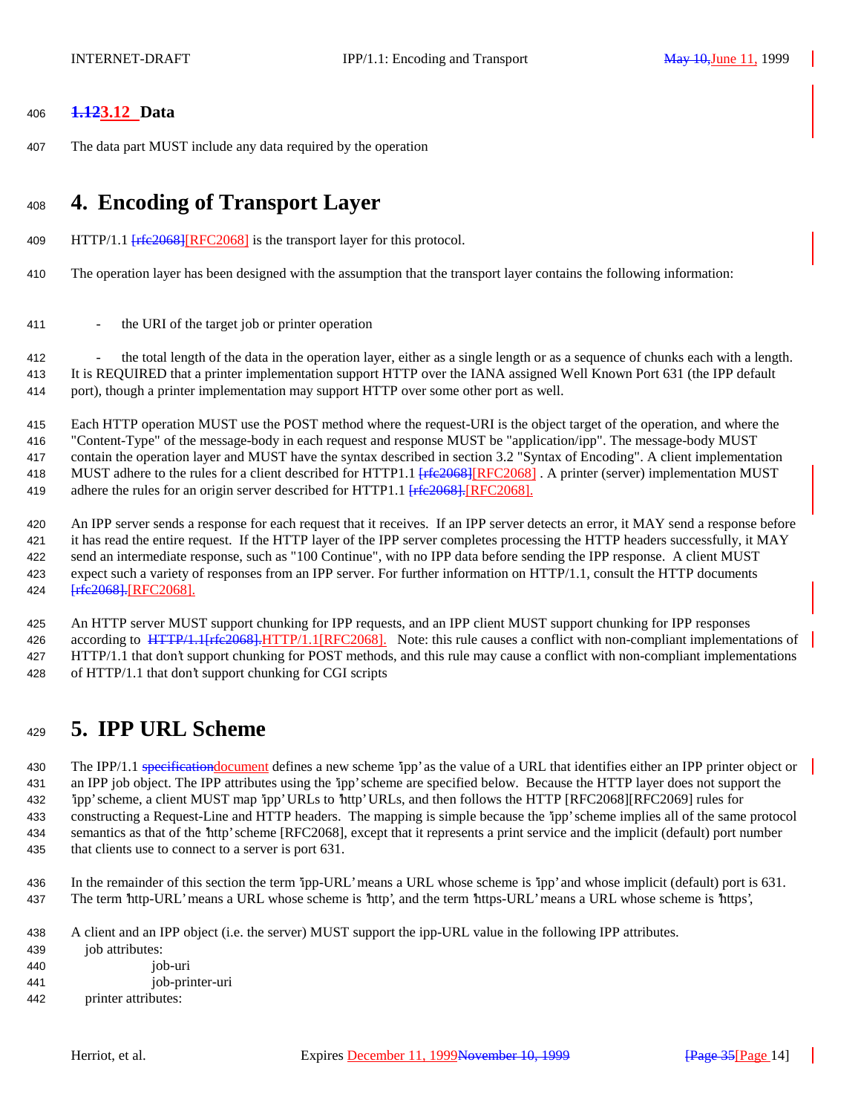## **1.123.12 Data**

The data part MUST include any data required by the operation

# **4. Encoding of Transport Layer**

- 409 HTTP/1.1  $[$  rfe $\frac{2068}{[$  RFC2068] is the transport layer for this protocol.
- The operation layer has been designed with the assumption that the transport layer contains the following information:
- 411 the URI of the target job or printer operation

<sup>412</sup> the total length of the data in the operation layer, either as a single length or as a sequence of chunks each with a length. It is REQUIRED that a printer implementation support HTTP over the IANA assigned Well Known Port 631 (the IPP default port), though a printer implementation may support HTTP over some other port as well.

 Each HTTP operation MUST use the POST method where the request-URI is the object target of the operation, and where the "Content-Type" of the message-body in each request and response MUST be "application/ipp". The message-body MUST contain the operation layer and MUST have the syntax described in section 3.2 "Syntax of Encoding". A client implementation 418 MUST adhere to the rules for a client described for HTTP1.1 [rfe2068][RFC2068]. A printer (server) implementation MUST 419 adhere the rules for an origin server described for HTTP1.1 [ $rfc2068$ ].[RFC2068].

 An IPP server sends a response for each request that it receives. If an IPP server detects an error, it MAY send a response before it has read the entire request. If the HTTP layer of the IPP server completes processing the HTTP headers successfully, it MAY send an intermediate response, such as "100 Continue", with no IPP data before sending the IPP response. A client MUST expect such a variety of responses from an IPP server. For further information on HTTP/1.1, consult the HTTP documents 424 <del>[rfc2068].</del>[RFC2068].

 An HTTP server MUST support chunking for IPP requests, and an IPP client MUST support chunking for IPP responses 426 according to HTTP/1.1<sub>[Ffe2068]</sub>.HTTP/1.1[RFC2068]. Note: this rule causes a conflict with non-compliant implementations of HTTP/1.1 that don't support chunking for POST methods, and this rule may cause a conflict with non-compliant implementations of HTTP/1.1 that don't support chunking for CGI scripts

# **5. IPP URL Scheme**

430 The IPP/1.1 specification document defines a new scheme 'ipp' as the value of a URL that identifies either an IPP printer object or an IPP job object. The IPP attributes using the 'ipp' scheme are specified below. Because the HTTP layer does not support the 'ipp' scheme, a client MUST map 'ipp' URLs to 'http' URLs, and then follows the HTTP [RFC2068][RFC2069] rules for constructing a Request-Line and HTTP headers. The mapping is simple because the 'ipp' scheme implies all of the same protocol semantics as that of the 'http' scheme [RFC2068], except that it represents a print service and the implicit (default) port number that clients use to connect to a server is port 631.

- In the remainder of this section the term 'ipp-URL' means a URL whose scheme is 'ipp' and whose implicit (default) port is 631. The term 'http-URL' means a URL whose scheme is 'http', and the term 'https-URL' means a URL whose scheme is 'https',
- A client and an IPP object (i.e. the server) MUST support the ipp-URL value in the following IPP attributes.
- job attributes: job-uri job-printer-uri
- printer attributes: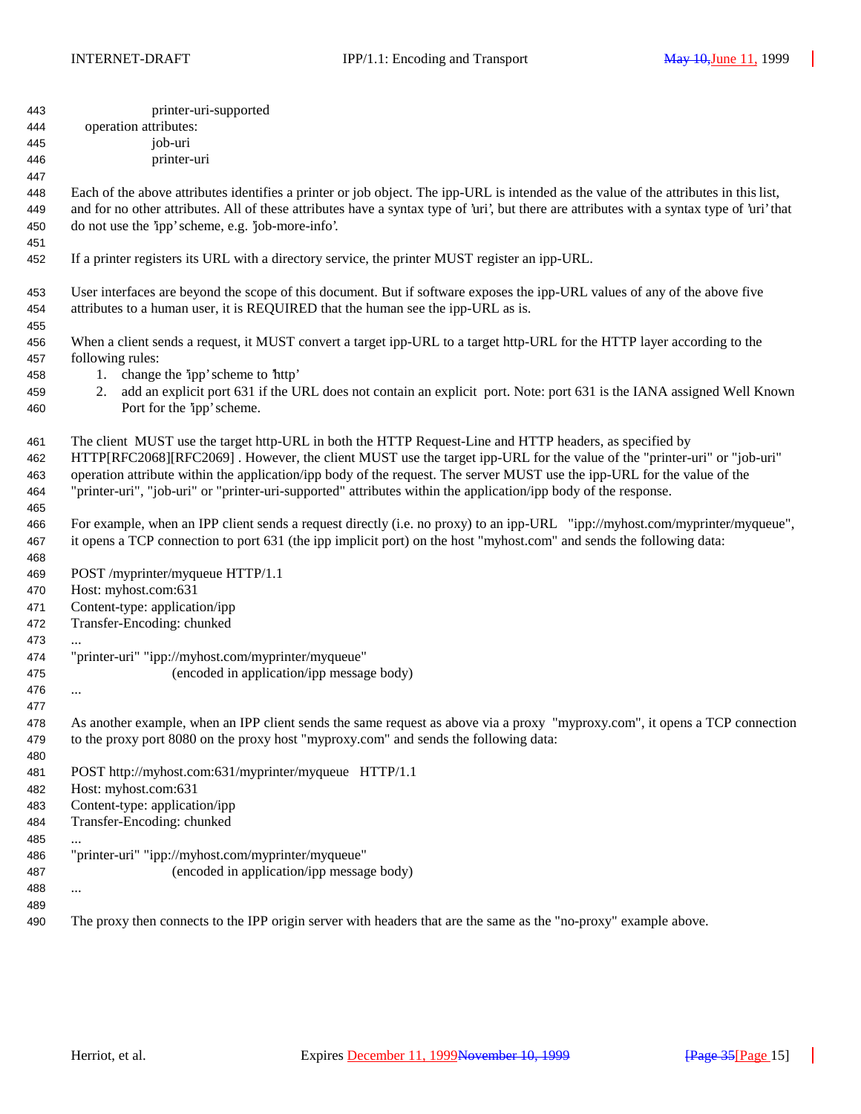| 443<br>444 | printer-uri-supported<br>operation attributes:                                                                                               |
|------------|----------------------------------------------------------------------------------------------------------------------------------------------|
| 445        | job-uri                                                                                                                                      |
| 446        | printer-uri                                                                                                                                  |
| 447        |                                                                                                                                              |
| 448        | Each of the above attributes identifies a printer or job object. The ipp-URL is intended as the value of the attributes in this list,        |
| 449        | and for no other attributes. All of these attributes have a syntax type of 'uri', but there are attributes with a syntax type of 'uri' that  |
| 450        | do not use the 'ipp' scheme, e.g. 'job-more-info'.                                                                                           |
| 451        |                                                                                                                                              |
| 452        | If a printer registers its URL with a directory service, the printer MUST register an ipp-URL.                                               |
| 453        | User interfaces are beyond the scope of this document. But if software exposes the ipp-URL values of any of the above five                   |
| 454        | attributes to a human user, it is REQUIRED that the human see the ipp-URL as is.                                                             |
| 455        |                                                                                                                                              |
| 456        | When a client sends a request, it MUST convert a target ipp-URL to a target http-URL for the HTTP layer according to the<br>following rules: |
| 457        | 1. change the 'ipp' scheme to 'http'                                                                                                         |
| 458<br>459 | add an explicit port 631 if the URL does not contain an explicit port. Note: port 631 is the IANA assigned Well Known<br>2.                  |
| 460        | Port for the 'ipp' scheme.                                                                                                                   |
|            |                                                                                                                                              |
| 461        | The client MUST use the target http-URL in both the HTTP Request-Line and HTTP headers, as specified by                                      |
| 462        | HTTP[RFC2068][RFC2069]. However, the client MUST use the target ipp-URL for the value of the "printer-uri" or "job-uri"                      |
| 463        | operation attribute within the application/ipp body of the request. The server MUST use the ipp-URL for the value of the                     |
| 464        | "printer-uri", "job-uri" or "printer-uri-supported" attributes within the application/ipp body of the response.                              |
| 465        |                                                                                                                                              |
| 466        | For example, when an IPP client sends a request directly (i.e. no proxy) to an ipp-URL "ipp://myhost.com/myprinter/myqueue",                 |
| 467        | it opens a TCP connection to port 631 (the ipp implicit port) on the host "myhost.com" and sends the following data:                         |
| 468        |                                                                                                                                              |
| 469        | POST /myprinter/myqueue HTTP/1.1                                                                                                             |
| 470        | Host: myhost.com:631                                                                                                                         |
| 471        | Content-type: application/ipp                                                                                                                |
| 472        | Transfer-Encoding: chunked                                                                                                                   |
| 473        |                                                                                                                                              |
| 474        | "printer-uri" "ipp://myhost.com/myprinter/myqueue"                                                                                           |
| 475        | (encoded in application/ipp message body)                                                                                                    |
| 476        | $\cdots$                                                                                                                                     |
| 477        |                                                                                                                                              |
| 478        | As another example, when an IPP client sends the same request as above via a proxy "myproxy.com", it opens a TCP connection                  |
| 479        | to the proxy port 8080 on the proxy host "myproxy.com" and sends the following data:                                                         |
| 480        | POST http://myhost.com:631/myprinter/myqueue HTTP/1.1                                                                                        |
| 481<br>482 | Host: myhost.com:631                                                                                                                         |
| 483        | Content-type: application/ipp                                                                                                                |
| 484        | Transfer-Encoding: chunked                                                                                                                   |
| 485        |                                                                                                                                              |
| 486        | "printer-uri" "ipp://myhost.com/myprinter/myqueue"                                                                                           |
| 487        | (encoded in application/ipp message body)                                                                                                    |
| 488        | $\cdots$                                                                                                                                     |
| 489        |                                                                                                                                              |
| 490        | The proxy then connects to the IPP origin server with headers that are the same as the "no-proxy" example above.                             |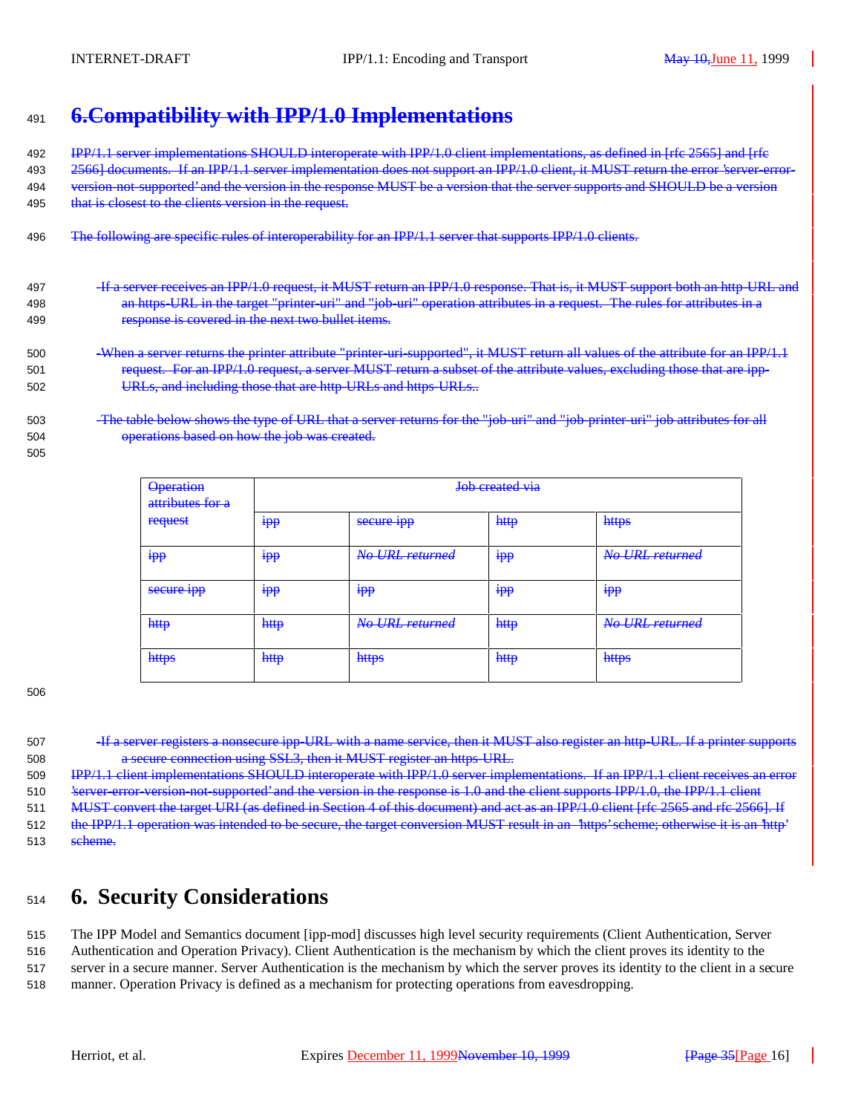# <sup>491</sup> **6.Compatibility with IPP/1.0 Implementations**

492 IPP/1.1 server implementations SHOULD interoperate with IPP/1.0 client implementations, as defined in [rfc 2565] and [rfc 493 2566] documents. If an IPP/1.1 server implementation does not support an IPP/1.0 client, it MUST return the error 'server-error-494 version-not-supported' and the version in the response MUST be a version that the server supports and SHOULD be a version 495 that is closest to the clients version in the request.

- 496 The following are specific rules of interoperability for an IPP/1.1 server that supports IPP/1.0 clients.
- 497 -If a server receives an IPP/1.0 request, it MUST return an IPP/1.0 response. That is, it MUST support both an http-URL and 498 an https-URL in the target "printer-uri" and "job-uri" operation attributes in a request. The rules for attributes in a 499 response is covered in the next two bullet items.
- 500 -When a server returns the printer attribute "printer-uri-supported", it MUST return all values of the attribute for an IPP/1.1 501 request. For an IPP/1.0 request, a server MUST return a subset of the attribute values, excluding those that are ipp-502 URLs, and including those that are http-URLs and https-URLs..
- 503 -The table below shows the type of URL that a server returns for the "job-uri" and "job-printer-uri" job attributes for all 504 operations based on how the job was created.
- 505

| <b>Operation</b><br>attributes for a | Job created via |                          |                |                 |
|--------------------------------------|-----------------|--------------------------|----------------|-----------------|
| request                              | <b>Ipp</b>      | secure <b><i>ipp</i></b> | http           | https           |
| <del>Ipp</del>                       | <del>pp</del>   | No URL returned          | <del>Ipp</del> | No URL returned |
| secure ipp                           | <b>Ipp</b>      | $\bullet$<br>$1111$      | <b>Ipp</b>     | $1111$          |
| http                                 | http            | No URL returned          | http           | No URL returned |
| https                                | http            | https                    | http           | https           |

506

- 507 <del>If a server registers a nonsecure ipp-URL with a name service, then it MUST also register an http-URL. If a printer supports</del> 508 a secure connection using SSL3, then it MUST register an https-URL.
- 509 IPP/1.1 client implementations SHOULD interoperate with IPP/1.0 server implementations. If an IPP/1.1 client receives an error 510 'server-error-version-not-supported' and the version in the response is 1.0 and the client supports IPP/1.0, the IPP/1.1 client
- 511 MUST convert the target URI (as defined in Section 4 of this document) and act as an IPP/1.0 client [rfc 2565 and rfc 2566]. If
- 512 the IPP/1.1 operation was intended to be secure, the target conversion MUST result in an 'https' scheme; otherwise it is an 'http' 513 scheme.

# <sup>514</sup> **6. Security Considerations**

- 515 The IPP Model and Semantics document [ipp-mod] discusses high level security requirements (Client Authentication, Server
- 516 Authentication and Operation Privacy). Client Authentication is the mechanism by which the client proves its identity to the 517 server in a secure manner. Server Authentication is the mechanism by which the server proves its identity to the client in a secure
- 518 manner. Operation Privacy is defined as a mechanism for protecting operations from eavesdropping.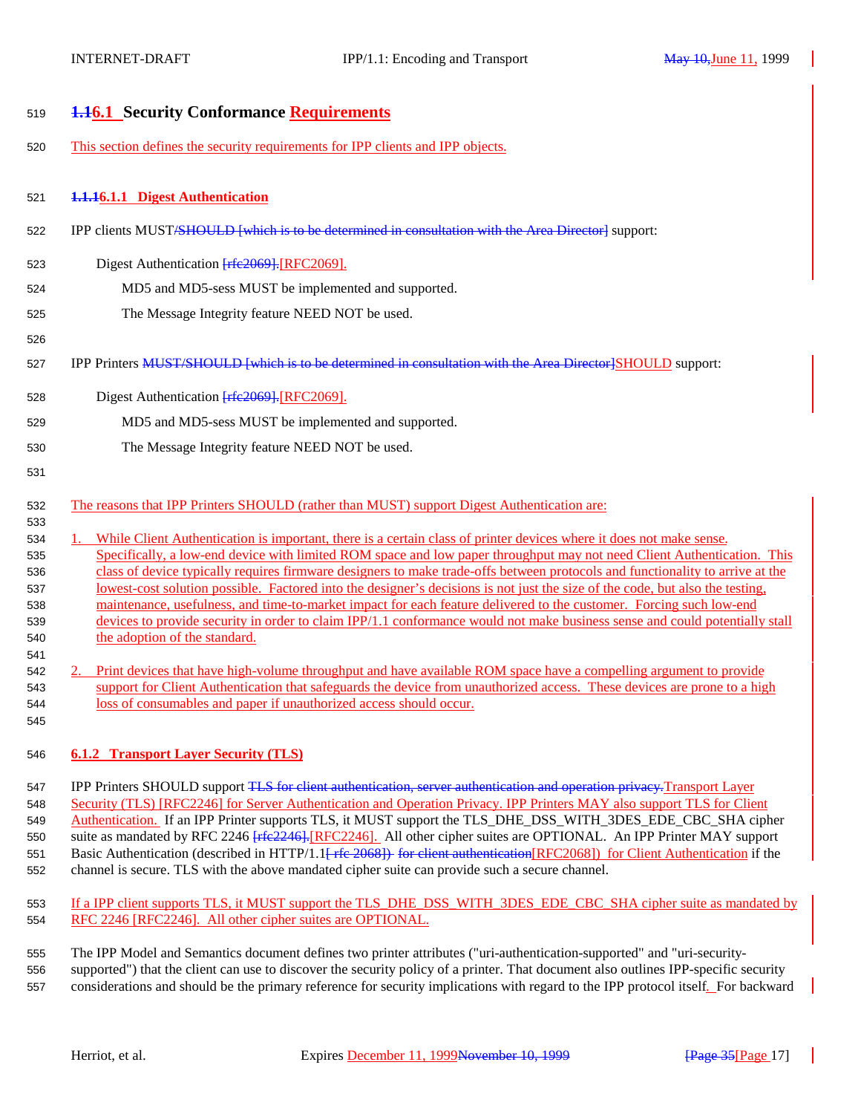| 519        | <b>4.16.1 Security Conformance Requirements</b>                                                                                                                                                                                                                |
|------------|----------------------------------------------------------------------------------------------------------------------------------------------------------------------------------------------------------------------------------------------------------------|
| 520        | This section defines the security requirements for IPP clients and IPP objects.                                                                                                                                                                                |
| 521        | 1.1.16.1.1 Digest Authentication                                                                                                                                                                                                                               |
| 522        | IPP clients MUST <del>/SHOULD [which is to be determined in consultation with the Area Director]</del> support:                                                                                                                                                |
| 523        | Digest Authentication Frfe2069]. [RFC2069].                                                                                                                                                                                                                    |
| 524        | MD5 and MD5-sess MUST be implemented and supported.                                                                                                                                                                                                            |
| 525        | The Message Integrity feature NEED NOT be used.                                                                                                                                                                                                                |
| 526        |                                                                                                                                                                                                                                                                |
| 527        | IPP Printers MUST/SHOULD [which is to be determined in consultation with the Area Director]SHOULD support:                                                                                                                                                     |
| 528        | Digest Authentication [rfc2069]. [RFC2069].                                                                                                                                                                                                                    |
| 529        | MD5 and MD5-sess MUST be implemented and supported.                                                                                                                                                                                                            |
| 530        | The Message Integrity feature NEED NOT be used.                                                                                                                                                                                                                |
| 531        |                                                                                                                                                                                                                                                                |
| 532<br>533 | The reasons that IPP Printers SHOULD (rather than MUST) support Digest Authentication are:                                                                                                                                                                     |
| 534        | While Client Authentication is important, there is a certain class of printer devices where it does not make sense.<br>1.                                                                                                                                      |
| 535        | Specifically, a low-end device with limited ROM space and low paper throughput may not need Client Authentication. This                                                                                                                                        |
| 536<br>537 | class of device typically requires firmware designers to make trade-offs between protocols and functionality to arrive at the<br>lowest-cost solution possible. Factored into the designer's decisions is not just the size of the code, but also the testing, |
| 538        | maintenance, usefulness, and time-to-market impact for each feature delivered to the customer. Forcing such low-end                                                                                                                                            |
| 539        | devices to provide security in order to claim IPP/1.1 conformance would not make business sense and could potentially stall                                                                                                                                    |
| 540        | the adoption of the standard.                                                                                                                                                                                                                                  |
| 541        |                                                                                                                                                                                                                                                                |
| 542        | Print devices that have high-volume throughput and have available ROM space have a compelling argument to provide                                                                                                                                              |
| 543        | support for Client Authentication that safeguards the device from unauthorized access. These devices are prone to a high<br>loss of consumables and paper if unauthorized access should occur.                                                                 |
| 544<br>545 |                                                                                                                                                                                                                                                                |
|            |                                                                                                                                                                                                                                                                |
| 546        | <b>6.1.2 Transport Layer Security (TLS)</b>                                                                                                                                                                                                                    |

547 IPP Printers SHOULD support TLS for client authentication, server authentication and operation privacy. Transport Layer 548 Security (TLS) [RFC2246] for Server Authentication and Operation Privacy. IPP Printers MAY also support TLS for Client 549 Authentication. If an IPP Printer supports TLS, it MUST support the TLS\_DHE\_DSS\_WITH\_3DES\_EDE\_CBC\_SHA cipher 550 suite as mandated by RFC 2246 [rfe2246]. [RFC2246]. All other cipher suites are OPTIONAL. An IPP Printer MAY support 551 Basic Authentication (described in HTTP/1.1<del> [ rfc 2068]) for client authentication</del> [RFC2068]) for Client Authentication if the 552 channel is secure. TLS with the above mandated cipher suite can provide such a secure channel.

553 If a IPP client supports TLS, it MUST support the TLS\_DHE\_DSS\_WITH\_3DES\_EDE\_CBC\_SHA cipher suite as mandated by 554 RFC 2246 [RFC2246]. All other cipher suites are OPTIONAL.

555 The IPP Model and Semantics document defines two printer attributes ("uri-authentication-supported" and "uri-security-556 supported") that the client can use to discover the security policy of a printer. That document also outlines IPP-specific security 557 considerations and should be the primary reference for security implications with regard to the IPP protocol itself. For backward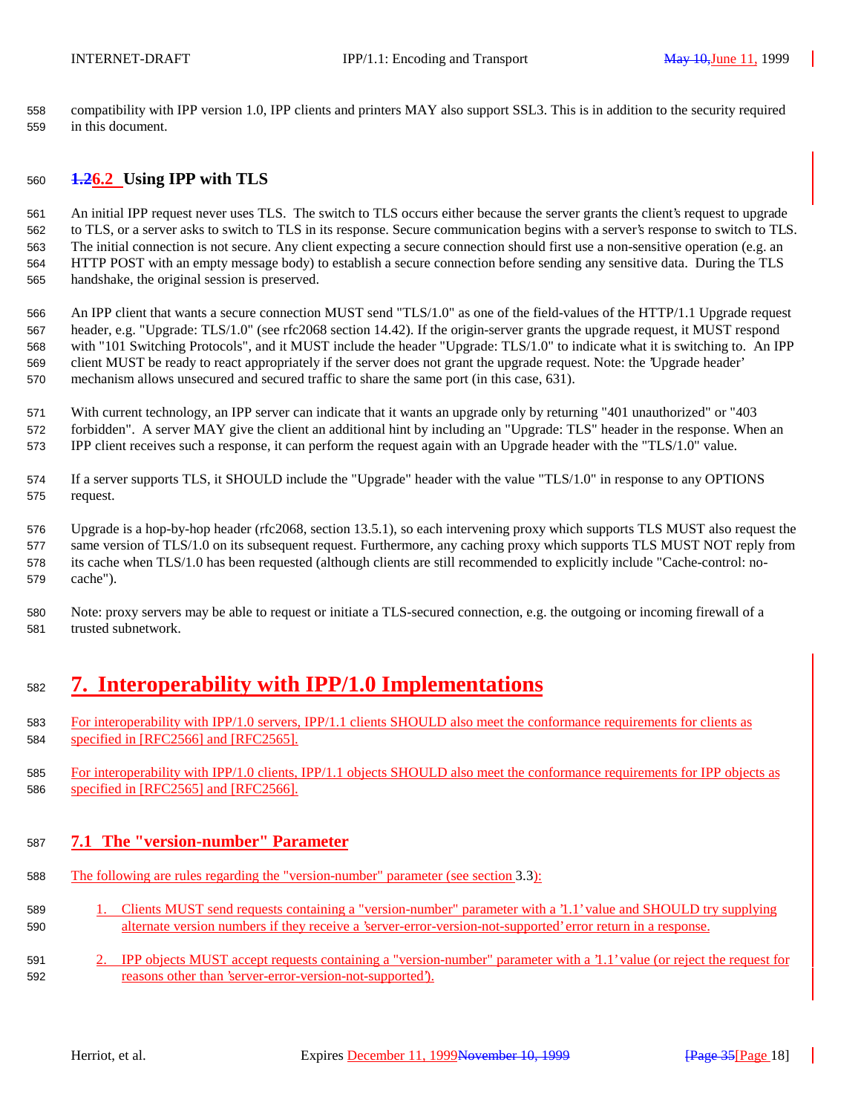compatibility with IPP version 1.0, IPP clients and printers MAY also support SSL3. This is in addition to the security required in this document.

## **1.26.2 Using IPP with TLS**

 An initial IPP request never uses TLS. The switch to TLS occurs either because the server grants the client's request to upgrade to TLS, or a server asks to switch to TLS in its response. Secure communication begins with a server's response to switch to TLS. The initial connection is not secure. Any client expecting a secure connection should first use a non-sensitive operation (e.g. an HTTP POST with an empty message body) to establish a secure connection before sending any sensitive data. During the TLS handshake, the original session is preserved.

 An IPP client that wants a secure connection MUST send "TLS/1.0" as one of the field-values of the HTTP/1.1 Upgrade request header, e.g. "Upgrade: TLS/1.0" (see rfc2068 section 14.42). If the origin-server grants the upgrade request, it MUST respond with "101 Switching Protocols", and it MUST include the header "Upgrade: TLS/1.0" to indicate what it is switching to. An IPP client MUST be ready to react appropriately if the server does not grant the upgrade request. Note: the 'Upgrade header' mechanism allows unsecured and secured traffic to share the same port (in this case, 631).

 With current technology, an IPP server can indicate that it wants an upgrade only by returning "401 unauthorized" or "403 forbidden". A server MAY give the client an additional hint by including an "Upgrade: TLS" header in the response. When an IPP client receives such a response, it can perform the request again with an Upgrade header with the "TLS/1.0" value.

 If a server supports TLS, it SHOULD include the "Upgrade" header with the value "TLS/1.0" in response to any OPTIONS request.

 Upgrade is a hop-by-hop header (rfc2068, section 13.5.1), so each intervening proxy which supports TLS MUST also request the same version of TLS/1.0 on its subsequent request. Furthermore, any caching proxy which supports TLS MUST NOT reply from its cache when TLS/1.0 has been requested (although clients are still recommended to explicitly include "Cache-control: no-cache").

 Note: proxy servers may be able to request or initiate a TLS-secured connection, e.g. the outgoing or incoming firewall of a trusted subnetwork.

# **7. Interoperability with IPP/1.0 Implementations**

- For interoperability with IPP/1.0 servers, IPP/1.1 clients SHOULD also meet the conformance requirements for clients as specified in [RFC2566] and [RFC2565].
- For interoperability with IPP/1.0 clients, IPP/1.1 objects SHOULD also meet the conformance requirements for IPP objects as specified in [RFC2565] and [RFC2566].

## **7.1 The "version-number" Parameter**

- The following are rules regarding the "version-number" parameter (see section 3.3):
- 1. Clients MUST send requests containing a "version-number" parameter with a '1.1' value and SHOULD try supplying alternate version numbers if they receive a 'server-error-version-not-supported' error return in a response.
- 2. IPP objects MUST accept requests containing a "version-number" parameter with a '1.1' value (or reject the request for reasons other than 'server-error-version-not-supported').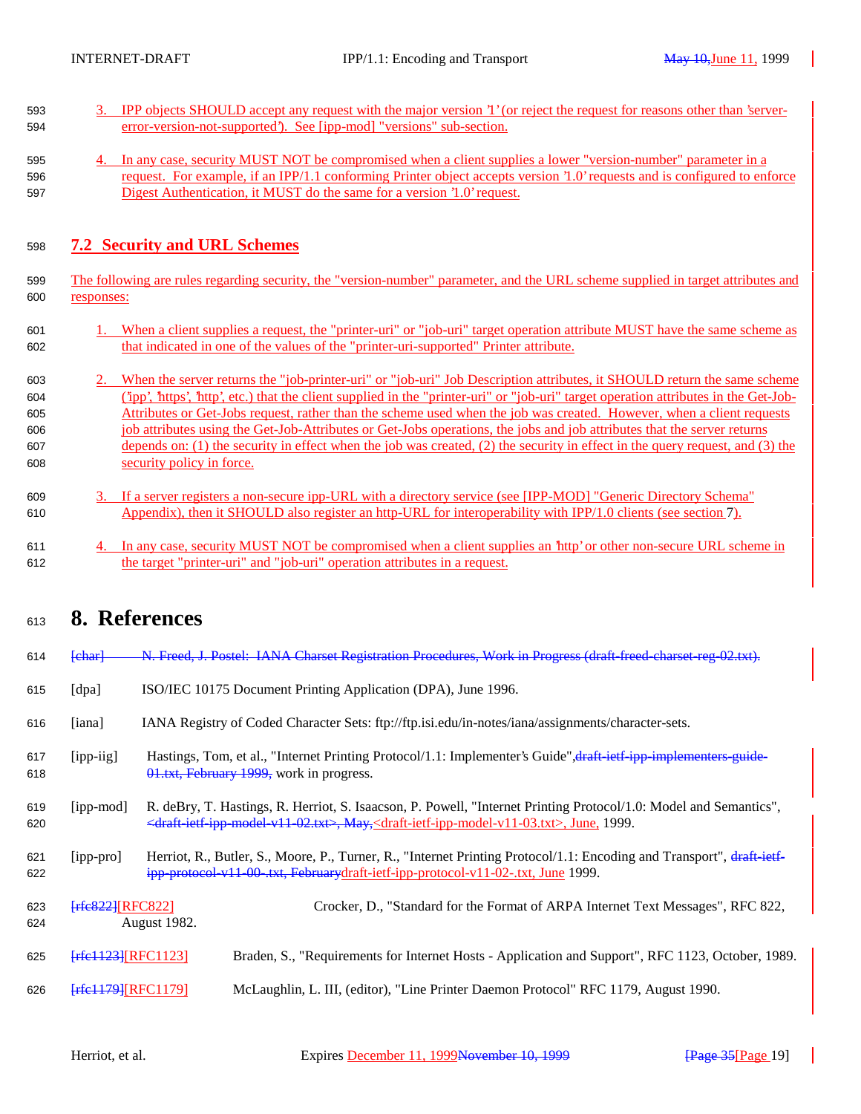- 3. IPP objects SHOULD accept any request with the major version '1' (or reject the request for reasons other than 'server-error-version-not-supported'). See [ipp-mod] "versions" sub-section.
- 4. In any case, security MUST NOT be compromised when a client supplies a lower "version-number" parameter in a request. For example, if an IPP/1.1 conforming Printer object accepts version '1.0' requests and is configured to enforce Digest Authentication, it MUST do the same for a version '1.0' request.

## **7.2 Security and URL Schemes**

- The following are rules regarding security, the "version-number" parameter, and the URL scheme supplied in target attributes and responses:
- 1. When a client supplies a request, the "printer-uri" or "job-uri" target operation attribute MUST have the same scheme as that indicated in one of the values of the "printer-uri-supported" Printer attribute.
- 2. When the server returns the "job-printer-uri" or "job-uri" Job Description attributes, it SHOULD return the same scheme ('ipp', 'https', 'http', etc.) that the client supplied in the "printer-uri" or "job-uri" target operation attributes in the Get-Job- Attributes or Get-Jobs request, rather than the scheme used when the job was created. However, when a client requests job attributes using the Get-Job-Attributes or Get-Jobs operations, the jobs and job attributes that the server returns depends on: (1) the security in effect when the job was created, (2) the security in effect in the query request, and (3) the security policy in force.
- 3. If a server registers a non-secure ipp-URL with a directory service (see [IPP-MOD] "Generic Directory Schema" Appendix), then it SHOULD also register an http-URL for interoperability with IPP/1.0 clients (see section 7).
- 4. In any case, security MUST NOT be compromised when a client supplies an 'http' or other non-secure URL scheme in the target "printer-uri" and "job-uri" operation attributes in a request.

## **8. References**

| 613        | 0. INCLUI UNUUS               |                                                                                                                                                                                                                                                                                |                                                                                                                                                                                                          |  |
|------------|-------------------------------|--------------------------------------------------------------------------------------------------------------------------------------------------------------------------------------------------------------------------------------------------------------------------------|----------------------------------------------------------------------------------------------------------------------------------------------------------------------------------------------------------|--|
| 614        | f <sub>char</sub>             |                                                                                                                                                                                                                                                                                | N. Freed, J. Postel: IANA Charset Registration Procedures, Work in Progress (draft-freed-charset-reg-02.txt).                                                                                            |  |
| 615        | [dpa]                         |                                                                                                                                                                                                                                                                                | ISO/IEC 10175 Document Printing Application (DPA), June 1996.                                                                                                                                            |  |
| 616        | [iana]                        |                                                                                                                                                                                                                                                                                | IANA Registry of Coded Character Sets: ftp://ftp.isi.edu/in-notes/iana/assignments/character-sets.                                                                                                       |  |
| 617<br>618 | [ipp-iig]                     |                                                                                                                                                                                                                                                                                | Hastings, Tom, et al., "Internet Printing Protocol/1.1: Implementer's Guide", draft-ietf-ipp-implementers-guide-<br>01.txt, February 1999, work in progress.                                             |  |
| 619<br>620 | [ipp-mod]                     | R. deBry, T. Hastings, R. Herriot, S. Isaacson, P. Powell, "Internet Printing Protocol/1.0: Model and Semantics",<br><draft-ietf-ipp-model-v11-02.txt>, May,<draft-ietf-ipp-model-v11-03.txt>, June, 1999.</draft-ietf-ipp-model-v11-03.txt></draft-ietf-ipp-model-v11-02.txt> |                                                                                                                                                                                                          |  |
| 621<br>622 | [ipp-pro]                     |                                                                                                                                                                                                                                                                                | Herriot, R., Butler, S., Moore, P., Turner, R., "Internet Printing Protocol/1.1: Encoding and Transport", draft-ietf-<br>ipp-protocol-v11-00-txt, Februarydraft-ietf-ipp-protocol-v11-02-txt, June 1999. |  |
| 623<br>624 | $[$ rfe $822$ ][RFC $822$ ]   | <b>August 1982.</b>                                                                                                                                                                                                                                                            | Crocker, D., "Standard for the Format of ARPA Internet Text Messages", RFC 822,                                                                                                                          |  |
| 625        | $[$ rfe $1123$ ][RFC $1123$ ] |                                                                                                                                                                                                                                                                                | Braden, S., "Requirements for Internet Hosts - Application and Support", RFC 1123, October, 1989.                                                                                                        |  |
| 626        | $[$ rfe $1179$ ][RFC $1179$ ] |                                                                                                                                                                                                                                                                                | McLaughlin, L. III, (editor), "Line Printer Daemon Protocol" RFC 1179, August 1990.                                                                                                                      |  |
|            |                               |                                                                                                                                                                                                                                                                                |                                                                                                                                                                                                          |  |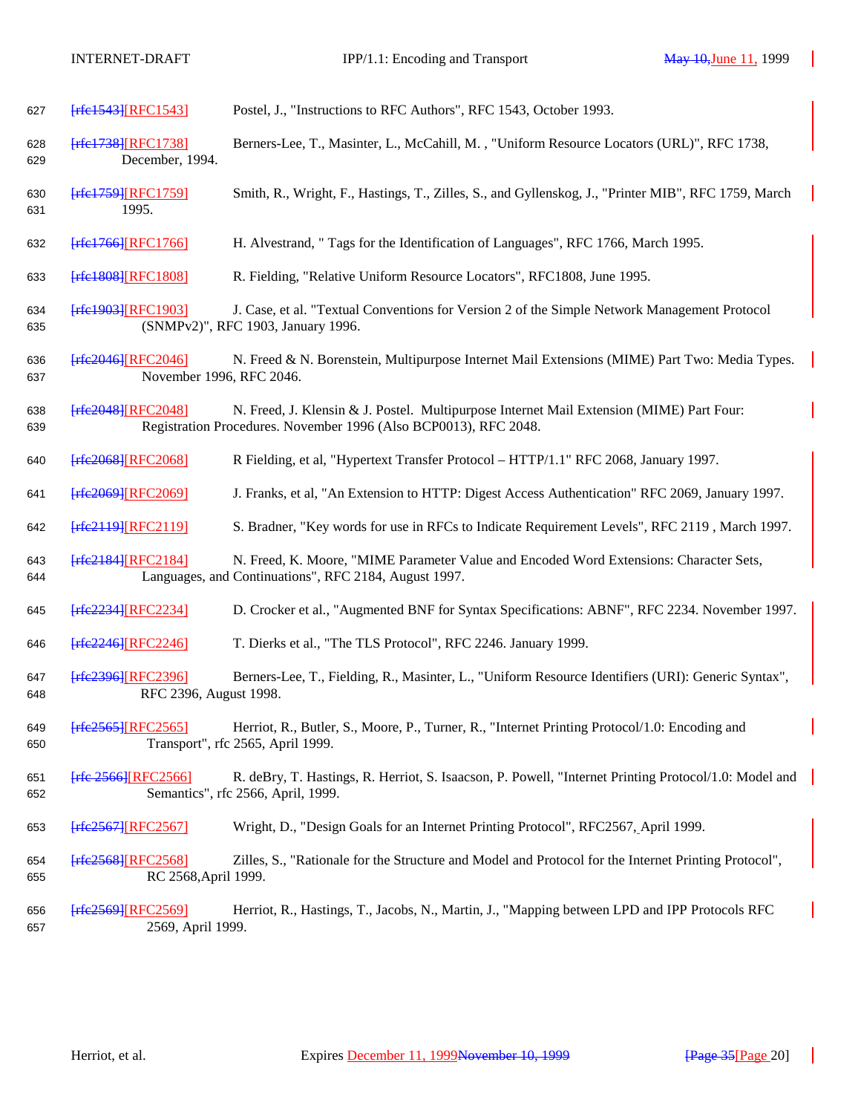| 627        | [rfe1543][RFC1543]                                | Postel, J., "Instructions to RFC Authors", RFC 1543, October 1993.                                                                                           |
|------------|---------------------------------------------------|--------------------------------------------------------------------------------------------------------------------------------------------------------------|
| 628<br>629 | [rfe1738][RFC1738]<br>December, 1994.             | Berners-Lee, T., Masinter, L., McCahill, M., "Uniform Resource Locators (URL)", RFC 1738,                                                                    |
| 630<br>631 | $[$ rfe $1759$ ][RFC $1759$ ]<br>1995.            | Smith, R., Wright, F., Hastings, T., Zilles, S., and Gyllenskog, J., "Printer MIB", RFC 1759, March                                                          |
| 632        | [rfe1766][RFC1766]                                | H. Alvestrand, " Tags for the Identification of Languages", RFC 1766, March 1995.                                                                            |
| 633        | [rfe1808][RFC1808]                                | R. Fielding, "Relative Uniform Resource Locators", RFC1808, June 1995.                                                                                       |
| 634<br>635 | [rfe1903][RFC1903]                                | J. Case, et al. "Textual Conventions for Version 2 of the Simple Network Management Protocol<br>(SNMPv2)", RFC 1903, January 1996.                           |
| 636<br>637 | $[$ rfe2046][RFC2046]<br>November 1996, RFC 2046. | N. Freed & N. Borenstein, Multipurpose Internet Mail Extensions (MIME) Part Two: Media Types.                                                                |
| 638<br>639 | [rfe2048][RFC2048]                                | N. Freed, J. Klensin & J. Postel. Multipurpose Internet Mail Extension (MIME) Part Four:<br>Registration Procedures. November 1996 (Also BCP0013), RFC 2048. |
| 640        | <b>Frfe2068 [RFC2068]</b>                         | R Fielding, et al, "Hypertext Transfer Protocol - HTTP/1.1" RFC 2068, January 1997.                                                                          |
| 641        | [rfe2069][RFC2069]                                | J. Franks, et al, "An Extension to HTTP: Digest Access Authentication" RFC 2069, January 1997.                                                               |
| 642        | [rfe2119][RFC2119]                                | S. Bradner, "Key words for use in RFCs to Indicate Requirement Levels", RFC 2119, March 1997.                                                                |
| 643<br>644 | [rfe2184][RFC2184]                                | N. Freed, K. Moore, "MIME Parameter Value and Encoded Word Extensions: Character Sets,<br>Languages, and Continuations", RFC 2184, August 1997.              |
| 645        | [rfe2234][RFC2234]                                | D. Crocker et al., "Augmented BNF for Syntax Specifications: ABNF", RFC 2234. November 1997.                                                                 |
| 646        | $[$ rfe2246][RFC2246]                             | T. Dierks et al., "The TLS Protocol", RFC 2246. January 1999.                                                                                                |
| 647<br>648 | [rfe2396][RFC2396]<br>RFC 2396, August 1998.      | Berners-Lee, T., Fielding, R., Masinter, L., "Uniform Resource Identifiers (URI): Generic Syntax",                                                           |
| 649<br>650 | $[$ rfe2565 $]$ [RFC2565]                         | Herriot, R., Butler, S., Moore, P., Turner, R., "Internet Printing Protocol/1.0: Encoding and<br>Transport", rfc 2565, April 1999.                           |
| 651<br>652 | [rfe-2566][RFC2566]                               | R. deBry, T. Hastings, R. Herriot, S. Isaacson, P. Powell, "Internet Printing Protocol/1.0: Model and<br>Semantics", rfc 2566, April, 1999.                  |
| 653        | [rfe2567][RFC2567]                                | Wright, D., "Design Goals for an Internet Printing Protocol", RFC2567, April 1999.                                                                           |
| 654<br>655 | [rfe2568][RFC2568]<br>RC 2568, April 1999.        | Zilles, S., "Rationale for the Structure and Model and Protocol for the Internet Printing Protocol",                                                         |
| 656<br>657 | [rfe2569][RFC2569]<br>2569, April 1999.           | Herriot, R., Hastings, T., Jacobs, N., Martin, J., "Mapping between LPD and IPP Protocols RFC                                                                |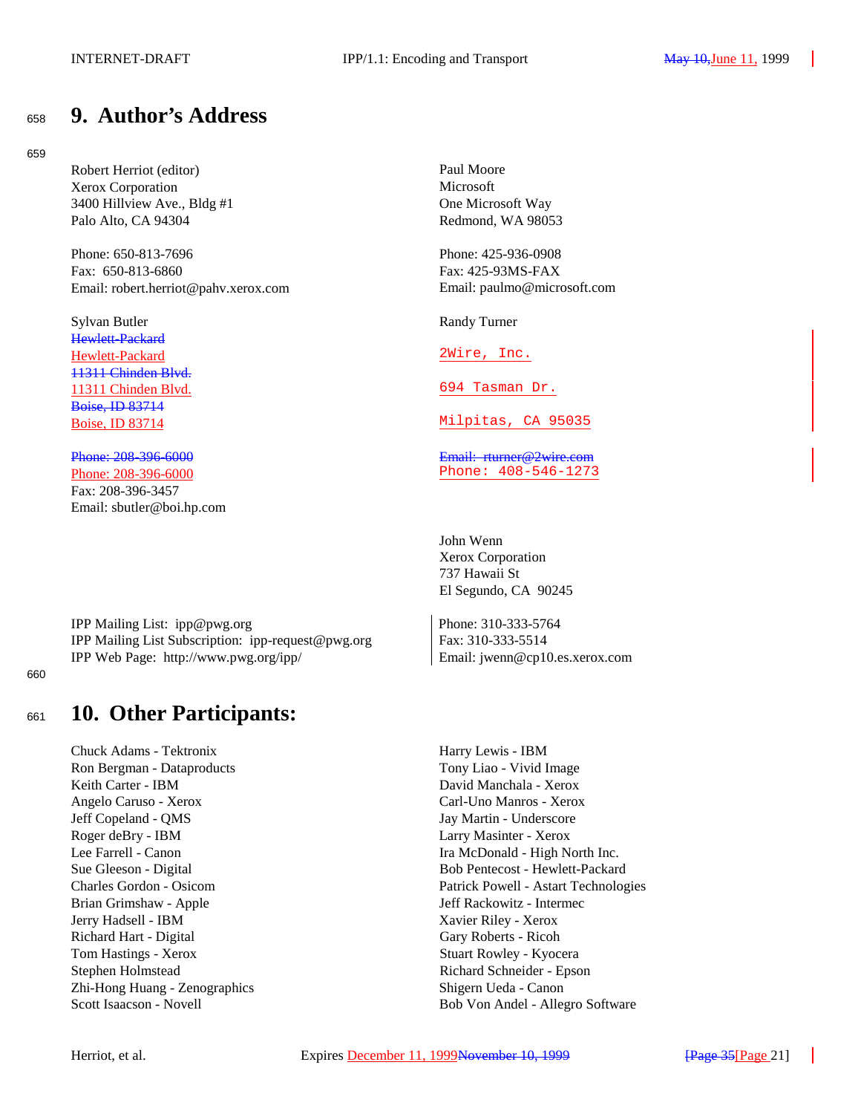# <sup>658</sup> **9. Author's Address**

## 659

Robert Herriot (editor) Paul Moore Xerox Corporation<br>
3400 Hillview Ave., Bldg #1 (2003) One Microsoft Way 3400 Hillview Ave., Bldg  $#1$ Palo Alto, CA 94304 Redmond, WA 98053

Phone: 650-813-7696 Phone: 425-936-0908 Fax: 650-813-6860 Fax: 425-93MS-FAX Email: robert.herriot@pahv.xerox.com Email: paulmo@microsoft.com

Sylvan Butler Randy Turner Hewlett-Packard Hewlett-Packard 2Wire, Inc. 11311 Chinden Blvd. 11311 Chinden Blvd. 694 Tasman Dr. Boise, ID 83714

Phone: 208-396-6000 Phone: 408-546-1273 Fax: 208-396-3457 Email: sbutler@boi.hp.com

IPP Mailing List: ipp@pwg.org Phone: 310-333-5764 IPP Mailing List Subscription: ipp-request@pwg.org Fax: 310-333-5514 IPP Web Page: http://www.pwg.org/ipp/ Email: jwenn@cp10.es.xerox.com

660

# <sup>661</sup> **10. Other Participants:**

Chuck Adams - Tektronix Harry Lewis - IBM Ron Bergman - Dataproducts Tony Liao - Vivid Image Keith Carter - IBM David Manchala - Xerox Angelo Caruso - Xerox Carl-Uno Manros - Xerox Jeff Copeland - QMS Jay Martin - Underscore Roger deBry - IBM Larry Masinter - Xerox Lee Farrell - Canon Ira McDonald - High North Inc. Brian Grimshaw - Apple Jeff Rackowitz - Intermec Jerry Hadsell - IBM Xavier Riley - Xerox Richard Hart - Digital Gary Roberts - Ricoh Tom Hastings - Xerox Stuart Rowley - Kyocera Stephen Holmstead Richard Schneider - Epson Zhi-Hong Huang - Zenographics Shigern Ueda - Canon

Boise, ID 83714 Milpitas, CA 95035

Phone: 208-396-6000 **Email:** rturner@2wire.com

John Wenn Xerox Corporation 737 Hawaii St El Segundo, CA 90245

Sue Gleeson - Digital Bob Pentecost - Hewlett-Packard Charles Gordon - Osicom Patrick Powell - Astart Technologies Scott Isaacson - Novell Bob Von Andel - Allegro Software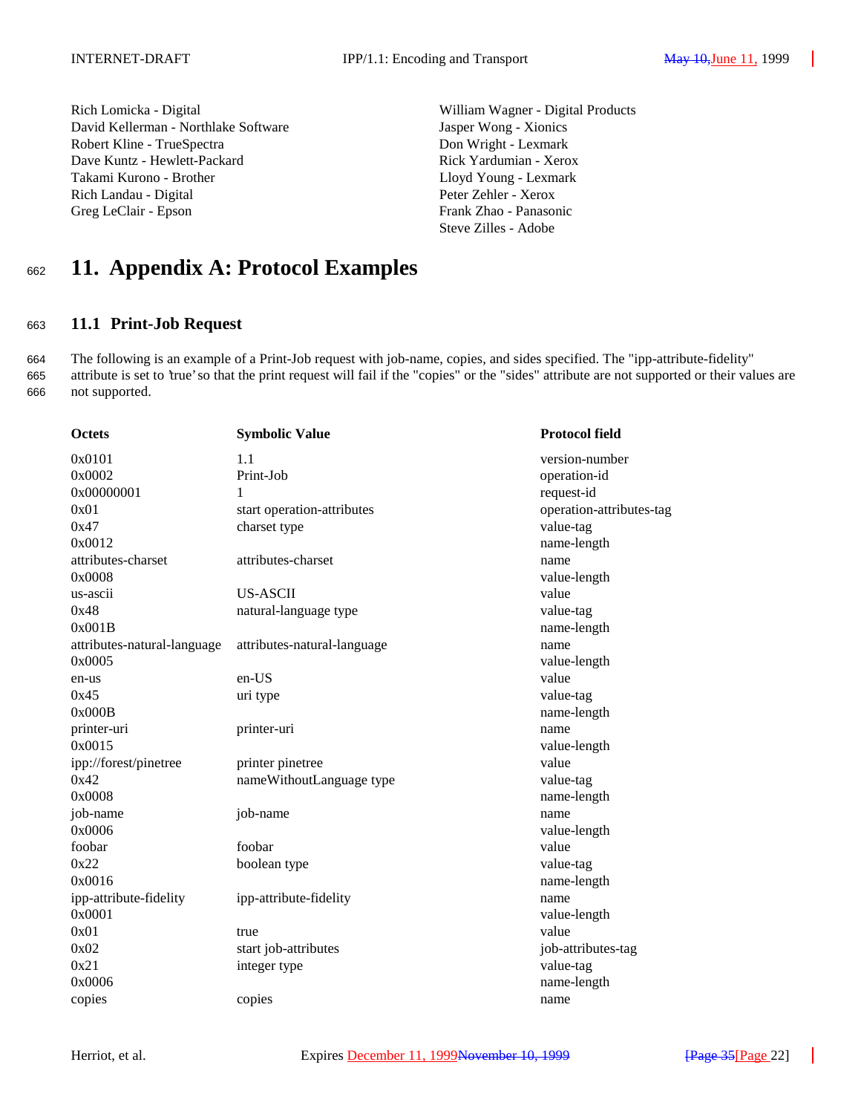Rich Lomicka - Digital William Wagner - Digital Products David Kellerman - Northlake Software Jasper Wong - Xionics Robert Kline - TrueSpectra **Don Wright - Lexmark** Dave Kuntz - Hewlett-Packard Rick Yardumian - Xerox Takami Kurono - Brother Lloyd Young - Lexmark Rich Landau - Digital Peter Zehler - Xerox Greg LeClair - Epson Frank Zhao - Panasonic

Steve Zilles - Adobe

# <sup>662</sup> **11. Appendix A: Protocol Examples**

## <sup>663</sup> **11.1 Print-Job Request**

664 The following is an example of a Print-Job request with job-name, copies, and sides specified. The "ipp-attribute-fidelity" 665 attribute is set to 'true' so that the print request will fail if the "copies" or the "sides" attribute are not supported or their values are 666 not supported.

| <b>Octets</b>               | <b>Symbolic Value</b>       | <b>Protocol field</b>    |
|-----------------------------|-----------------------------|--------------------------|
| 0x0101                      | 1.1                         | version-number           |
| 0x0002                      | Print-Job                   | operation-id             |
| 0x00000001                  | 1                           | request-id               |
| 0x01                        | start operation-attributes  | operation-attributes-tag |
| 0x47                        | charset type                | value-tag                |
| 0x0012                      |                             | name-length              |
| attributes-charset          | attributes-charset          | name                     |
| 0x0008                      |                             | value-length             |
| us-ascii                    | <b>US-ASCII</b>             | value                    |
| 0x48                        | natural-language type       | value-tag                |
| 0x001B                      |                             | name-length              |
| attributes-natural-language | attributes-natural-language | name                     |
| 0x0005                      |                             | value-length             |
| en-us                       | en-US                       | value                    |
| 0x45                        | uri type                    | value-tag                |
| 0x000B                      |                             | name-length              |
| printer-uri                 | printer-uri                 | name                     |
| 0x0015                      |                             | value-length             |
| ipp://forest/pinetree       | printer pinetree            | value                    |
| 0x42                        | nameWithoutLanguage type    | value-tag                |
| 0x0008                      |                             | name-length              |
| job-name                    | job-name                    | name                     |
| 0x0006                      |                             | value-length             |
| foobar                      | foobar                      | value                    |
| 0x22                        | boolean type                | value-tag                |
| 0x0016                      |                             | name-length              |
| ipp-attribute-fidelity      | ipp-attribute-fidelity      | name                     |
| 0x0001                      |                             | value-length             |
| 0x01                        | true                        | value                    |
| 0x02                        | start job-attributes        | job-attributes-tag       |
| 0x21                        | integer type                | value-tag                |
| 0x0006                      |                             | name-length              |
| copies                      | copies                      | name                     |
|                             |                             |                          |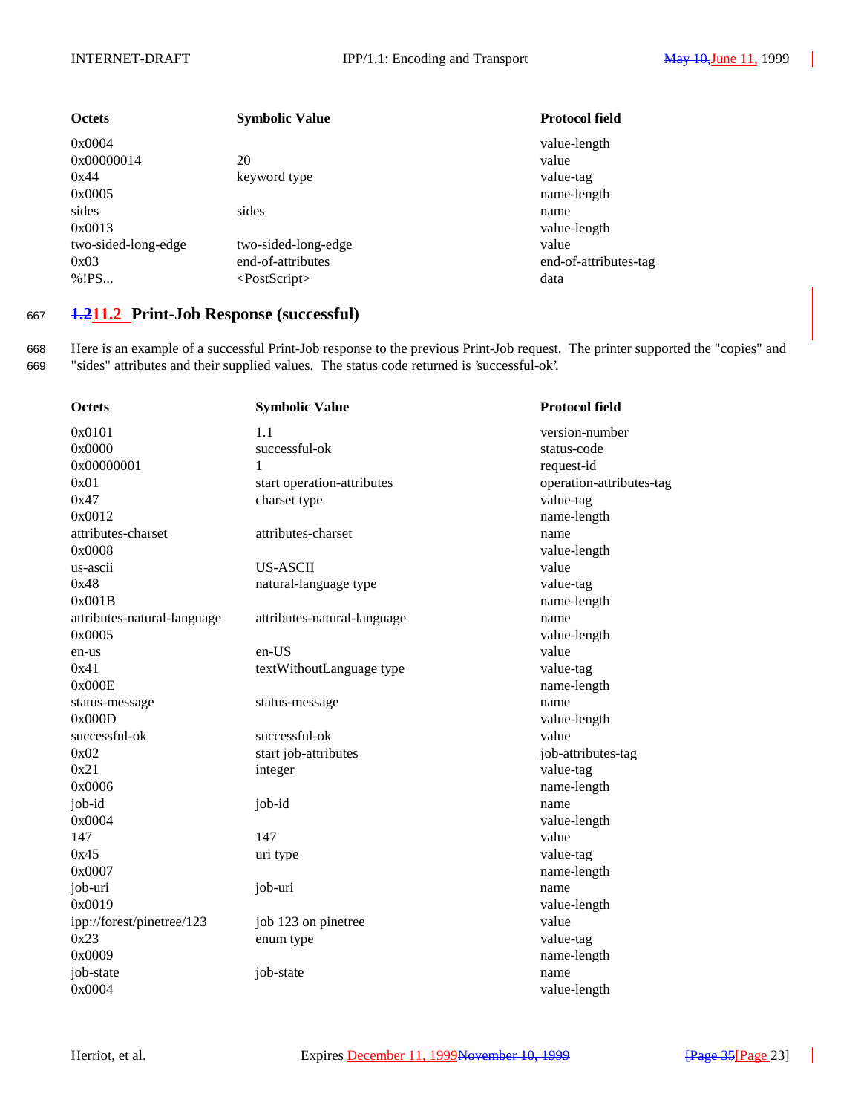| <b>Octets</b>       | <b>Symbolic Value</b> | <b>Protocol field</b> |
|---------------------|-----------------------|-----------------------|
| 0x0004              |                       | value-length          |
| 0x00000014          | 20                    | value                 |
| 0x44                | keyword type          | value-tag             |
| 0x0005              |                       | name-length           |
| sides               | sides                 | name                  |
| 0x0013              |                       | value-length          |
| two-sided-long-edge | two-sided-long-edge   | value                 |
| 0x03                | end-of-attributes     | end-of-attributes-tag |
| % ! PS              | $<$ PostScript $>$    | data                  |
|                     |                       |                       |

## <sup>667</sup> **1.211.2 Print-Job Response (successful)**

668 Here is an example of a successful Print-Job response to the previous Print-Job request. The printer supported the "copies" and 669 "sides" attributes and their supplied values. The status code returned is 'successful-ok'.

| <b>Octets</b>               | <b>Symbolic Value</b>       | <b>Protocol field</b>    |
|-----------------------------|-----------------------------|--------------------------|
| 0x0101                      | 1.1                         | version-number           |
| 0x0000                      | successful-ok               | status-code              |
| 0x00000001                  | 1                           | request-id               |
| 0x01                        | start operation-attributes  | operation-attributes-tag |
| 0x47                        | charset type                | value-tag                |
| 0x0012                      |                             | name-length              |
| attributes-charset          | attributes-charset          | name                     |
| 0x0008                      |                             | value-length             |
| us-ascii                    | <b>US-ASCII</b>             | value                    |
| 0x48                        | natural-language type       | value-tag                |
| 0x001B                      |                             | name-length              |
| attributes-natural-language | attributes-natural-language | name                     |
| 0x0005                      |                             | value-length             |
| en-us                       | en-US                       | value                    |
| 0x41                        | textWithoutLanguage type    | value-tag                |
| 0x000E                      |                             | name-length              |
| status-message              | status-message              | name                     |
| 0x000D                      |                             | value-length             |
| successful-ok               | successful-ok               | value                    |
| 0x02                        | start job-attributes        | job-attributes-tag       |
| 0x21                        | integer                     | value-tag                |
| 0x0006                      |                             | name-length              |
| job-id                      | job-id                      | name                     |
| 0x0004                      |                             | value-length             |
| 147                         | 147                         | value                    |
| 0x45                        | uri type                    | value-tag                |
| 0x0007                      |                             | name-length              |
| job-uri                     | job-uri                     | name                     |
| 0x0019                      |                             | value-length             |
| ipp://forest/pinetree/123   | job 123 on pinetree         | value                    |
| 0x23                        | enum type                   | value-tag                |
| 0x0009                      |                             | name-length              |
| job-state                   | job-state                   | name                     |
| 0x0004                      |                             | value-length             |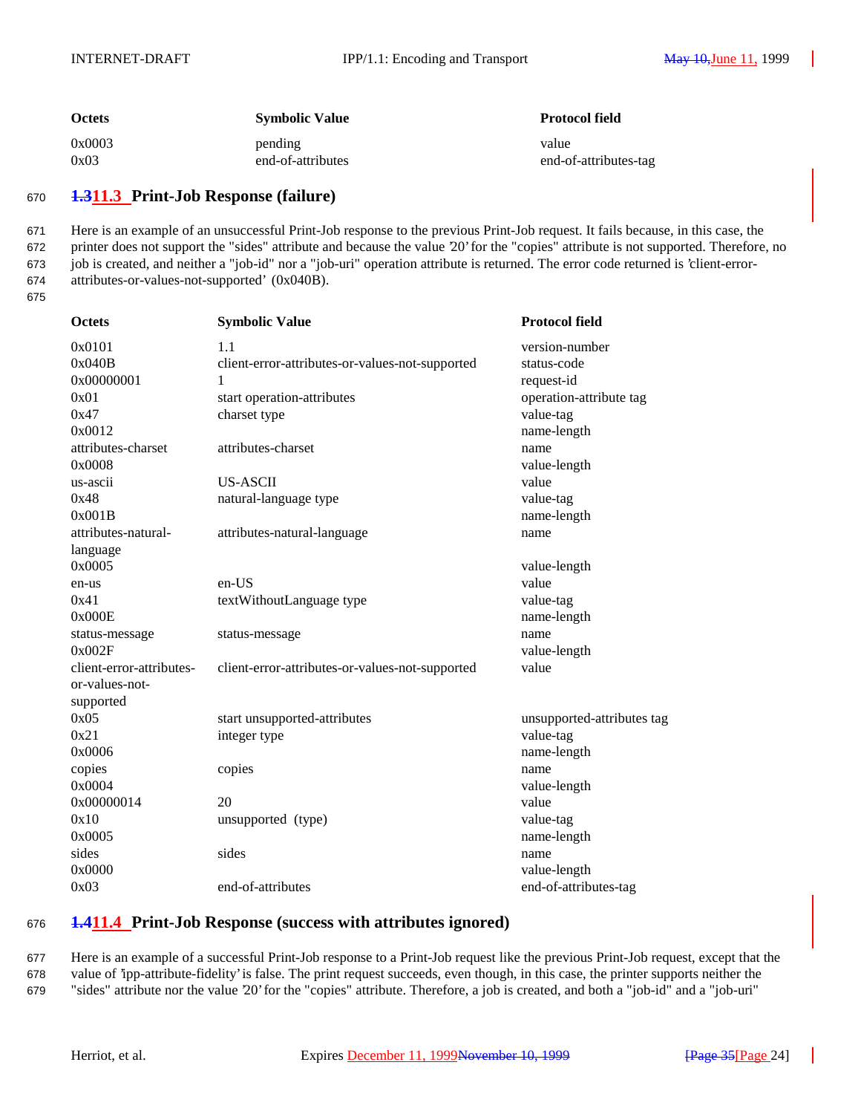| <b>Octets</b> | <b>Symbolic Value</b> | <b>Protocol field</b> |
|---------------|-----------------------|-----------------------|
| 0x0003        | pending               | value                 |
| 0x03          | end-of-attributes     | end-of-attributes-tag |

## <sup>670</sup> **1.311.3 Print-Job Response (failure)**

 Here is an example of an unsuccessful Print-Job response to the previous Print-Job request. It fails because, in this case, the printer does not support the "sides" attribute and because the value '20' for the "copies" attribute is not supported. Therefore, no job is created, and neither a "job-id" nor a "job-uri" operation attribute is returned. The error code returned is 'client-error-attributes-or-values-not-supported' (0x040B).

675

| <b>Octets</b>            | <b>Symbolic Value</b>                           | <b>Protocol field</b>      |
|--------------------------|-------------------------------------------------|----------------------------|
| 0x0101                   | 1.1                                             | version-number             |
| 0x040B                   | client-error-attributes-or-values-not-supported | status-code                |
| 0x00000001               | 1                                               | request-id                 |
| 0x01                     | start operation-attributes                      | operation-attribute tag    |
| 0x47                     | charset type                                    | value-tag                  |
| 0x0012                   |                                                 | name-length                |
| attributes-charset       | attributes-charset                              | name                       |
| 0x0008                   |                                                 | value-length               |
| us-ascii                 | <b>US-ASCII</b>                                 | value                      |
| 0x48                     | natural-language type                           | value-tag                  |
| 0x001B                   |                                                 | name-length                |
| attributes-natural-      | attributes-natural-language                     | name                       |
| language                 |                                                 |                            |
| 0x0005                   |                                                 | value-length               |
| en-us                    | en-US                                           | value                      |
| 0x41                     | textWithoutLanguage type                        | value-tag                  |
| 0x000E                   |                                                 | name-length                |
| status-message           | status-message                                  | name                       |
| 0x002F                   |                                                 | value-length               |
| client-error-attributes- | client-error-attributes-or-values-not-supported | value                      |
| or-values-not-           |                                                 |                            |
| supported                |                                                 |                            |
| 0x05                     | start unsupported-attributes                    | unsupported-attributes tag |
| 0x21                     | integer type                                    | value-tag                  |
| 0x0006                   |                                                 | name-length                |
| copies                   | copies                                          | name                       |
| 0x0004                   |                                                 | value-length               |
| 0x00000014               | 20                                              | value                      |
| 0x10                     | unsupported (type)                              | value-tag                  |
| 0x0005                   |                                                 | name-length                |
| sides                    | sides                                           | name                       |
| 0x0000                   |                                                 | value-length               |
| 0x03                     | end-of-attributes                               | end-of-attributes-tag      |

## <sup>676</sup> **1.411.4 Print-Job Response (success with attributes ignored)**

677 Here is an example of a successful Print-Job response to a Print-Job request like the previous Print-Job request, except that the 678 value of 'ipp-attribute-fidelity' is false. The print request succeeds, even though, in this case, the printer supports neither the 679 "sides" attribute nor the value '20' for the "copies" attribute. Therefore, a job is created, and both a "job-id" and a "job-uri"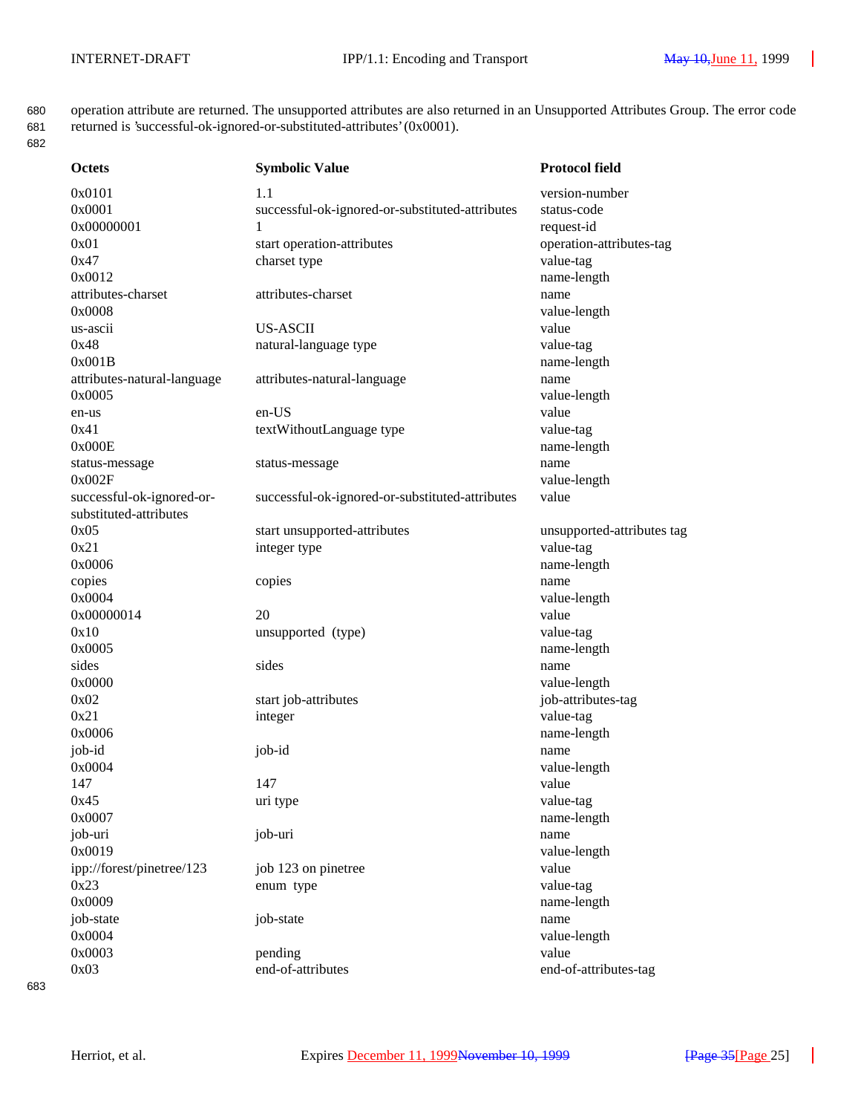680 operation attribute are returned. The unsupported attributes are also returned in an Unsupported Attributes Group. The error code

| 681<br>682 | returned is 'successful-ok-ignored-or-substituted-attributes' (0x0001). |                                                 |                          |
|------------|-------------------------------------------------------------------------|-------------------------------------------------|--------------------------|
|            | <b>Octets</b>                                                           | <b>Symbolic Value</b>                           | <b>Protocol field</b>    |
|            | 0x0101                                                                  | 1.1                                             | version-number           |
|            | 0x0001                                                                  | successful-ok-ignored-or-substituted-attributes | status-code              |
|            | 0x00000001                                                              | 1                                               | request-id               |
|            | 0x01                                                                    | start operation-attributes                      | operation-attributes-tag |
|            | 0x47                                                                    | charset type                                    | value-tag                |
|            | 0x0012                                                                  |                                                 | name-length              |
|            | attributes-charset                                                      | attributes-charset                              | name                     |
|            | 0x0008                                                                  |                                                 | value-length             |
|            | us-ascii                                                                | <b>US-ASCII</b>                                 | value                    |
|            | 0x48                                                                    | natural-language type                           | value-tag                |
|            | 0x001B                                                                  |                                                 | name-length              |
|            | attributes-natural-language                                             | attributes-natural-language                     | name                     |
|            | 0x0005                                                                  |                                                 | value-length             |
|            | en-us                                                                   | $en-US$                                         | value                    |
|            | 0x41                                                                    | textWithoutLanguage type                        | value-tag                |
|            | 0x000E                                                                  |                                                 | name-length              |
|            | status-message                                                          | status-message                                  | name                     |
|            | 0x002F                                                                  |                                                 | value-length             |
|            | successful-ok-ignored-or-                                               | successful-ok-ignored-or-substituted-attributes | value                    |
|            | substituted-attributes                                                  |                                                 |                          |

0x21 integer type value-tag

copies copies copies and copies and copies and copies and copies and copies and copies and copies and copies and copies and copies and copies and copies and copies and copies and copies and copies and copies and copies and

0x000000014 20 value

0x05 start unsupported-attributes unsupported-attributes unsupported-attributes tag 0x0006 name-length 0x0004 value-length 0x10 unsupported (type) value-tag 0x0005 name-length sides name sides sides name sides name sides name sides name sides name sides name sides name sides name sides 0x0000 value-length

0x02 start job-attributes in the start is start job-attributes-tag 0x21 integer value-tag 0x0006 name-length job-id job-id name 0x0004 value-length

job-uri job-uri name ipp://forest/pinetree/123 job 123 on pinetree value

147 value 0x45 uri type value-tag

0x0007 name-length 0x0019 value-length 0x23 enum type value-tag

0x0009 name-length job-state job-state name 0x0004 value-length

0x0003 pending value 0x03 end-of-attributes end-of-attributes-tag

#### 683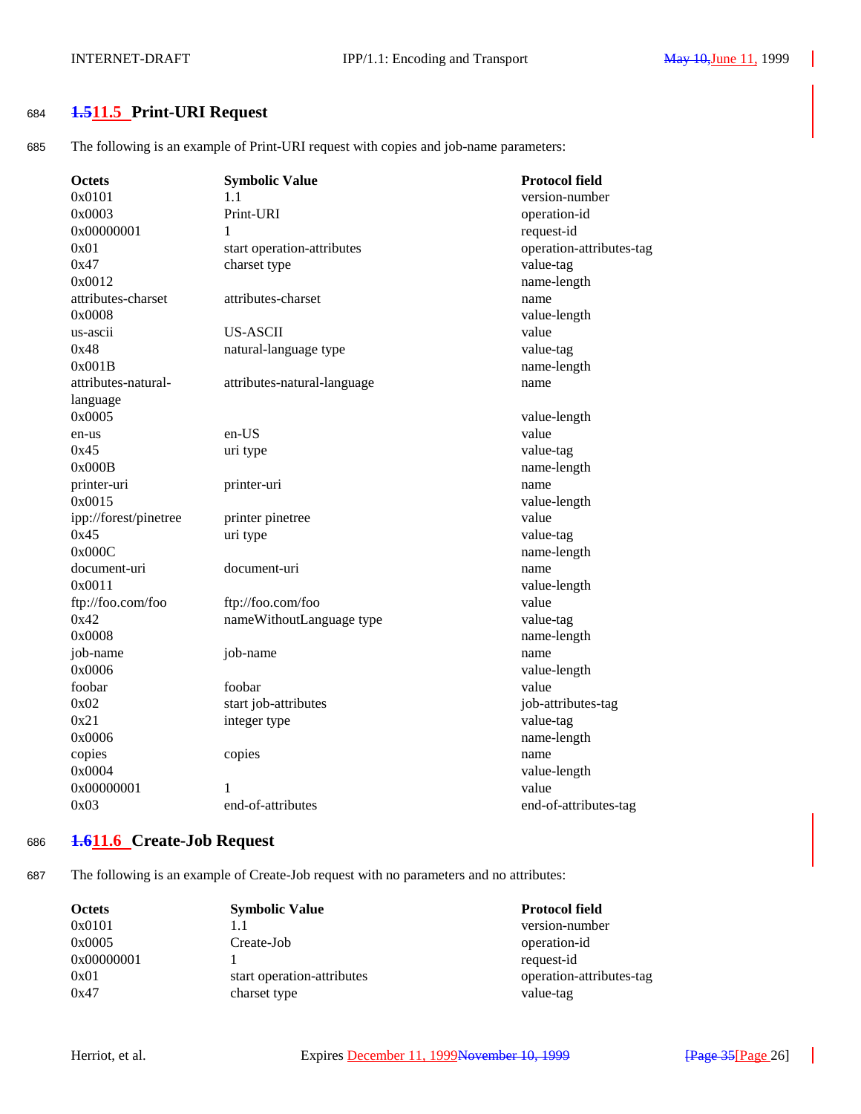## <sup>684</sup> **1.511.5 Print-URI Request**

685 The following is an example of Print-URI request with copies and job-name parameters:

| <b>Octets</b>         | <b>Symbolic Value</b>       | <b>Protocol field</b>    |
|-----------------------|-----------------------------|--------------------------|
| 0x0101                | 1.1                         | version-number           |
| 0x0003                | Print-URI                   | operation-id             |
| 0x00000001            | 1                           | request-id               |
| 0x01                  | start operation-attributes  | operation-attributes-tag |
| 0x47                  | charset type                | value-tag                |
| 0x0012                |                             | name-length              |
| attributes-charset    | attributes-charset          | name                     |
| 0x0008                |                             | value-length             |
| us-ascii              | <b>US-ASCII</b>             | value                    |
| 0x48                  | natural-language type       | value-tag                |
| 0x001B                |                             | name-length              |
| attributes-natural-   | attributes-natural-language | name                     |
| language              |                             |                          |
| 0x0005                |                             | value-length             |
| en-us                 | en-US                       | value                    |
| 0x45                  | uri type                    | value-tag                |
| 0x000B                |                             | name-length              |
| printer-uri           | printer-uri                 | name                     |
| 0x0015                |                             | value-length             |
| ipp://forest/pinetree | printer pinetree            | value                    |
| 0x45                  | uri type                    | value-tag                |
| 0x000C                |                             | name-length              |
| document-uri          | document-uri                | name                     |
| 0x0011                |                             | value-length             |
| ftp://foo.com/foo     | ftp://foo.com/foo           | value                    |
| 0x42                  | nameWithoutLanguage type    | value-tag                |
| 0x0008                |                             | name-length              |
| job-name              | job-name                    | name                     |
| 0x0006                |                             | value-length             |
| foobar                | foobar                      | value                    |
| 0x02                  | start job-attributes        | job-attributes-tag       |
| 0x21                  | integer type                | value-tag                |
| 0x0006                |                             | name-length              |
| copies                | copies                      | name                     |
| 0x0004                |                             | value-length             |
| 0x00000001            | 1                           | value                    |
| 0x03                  | end-of-attributes           | end-of-attributes-tag    |
|                       |                             |                          |

## <sup>686</sup> **1.611.6 Create-Job Request**

687 The following is an example of Create-Job request with no parameters and no attributes:

| <b>Octets</b> | <b>Symbolic Value</b>      | <b>Protocol field</b>    |
|---------------|----------------------------|--------------------------|
| 0x0101        | 1.1                        | version-number           |
| 0x0005        | Create-Job                 | operation-id             |
| 0x00000001    |                            | request-id               |
| 0x01          | start operation-attributes | operation-attributes-tag |
| 0x47          | charset type               | value-tag                |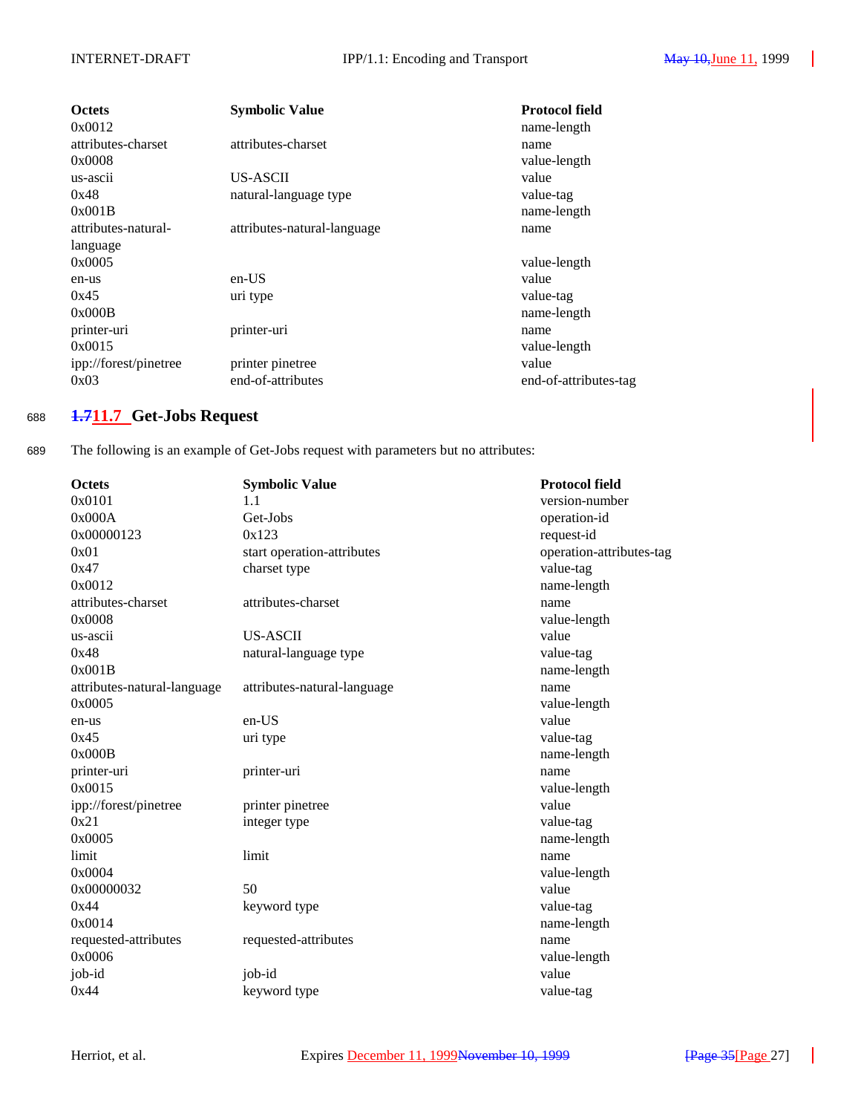| <b>Octets</b><br>0x0012      | <b>Symbolic Value</b>       | <b>Protocol field</b><br>name-length |
|------------------------------|-----------------------------|--------------------------------------|
| attributes-charset<br>0x0008 | attributes-charset          | name<br>value-length                 |
| us-ascii                     | US-ASCII                    | value                                |
| 0x48                         | natural-language type       | value-tag                            |
| 0x001B                       |                             | name-length                          |
| attributes-natural-          | attributes-natural-language | name                                 |
| language                     |                             |                                      |
| 0x0005                       |                             | value-length                         |
| en-us                        | $en-US$                     | value                                |
| 0x45                         | uri type                    | value-tag                            |
| 0x000B                       |                             | name-length                          |
| printer-uri                  | printer-uri                 | name                                 |
| 0x0015                       |                             | value-length                         |
| ipp://forest/pinetree        | printer pinetree            | value                                |
| 0x03                         | end-of-attributes           | end-of-attributes-tag                |

## <sup>688</sup> **1.711.7 Get-Jobs Request**

689 The following is an example of Get-Jobs request with parameters but no attributes:

| <b>Octets</b>               | <b>Symbolic Value</b>       | <b>Protocol field</b>    |
|-----------------------------|-----------------------------|--------------------------|
| 0x0101                      | 1.1                         | version-number           |
| 0x000A                      | Get-Jobs                    | operation-id             |
| 0x00000123                  | 0x123                       | request-id               |
| 0x01                        | start operation-attributes  | operation-attributes-tag |
| 0x47                        | charset type                | value-tag                |
| 0x0012                      |                             | name-length              |
| attributes-charset          | attributes-charset          | name                     |
| 0x0008                      |                             | value-length             |
| us-ascii                    | <b>US-ASCII</b>             | value                    |
| 0x48                        | natural-language type       | value-tag                |
| 0x001B                      |                             | name-length              |
| attributes-natural-language | attributes-natural-language | name                     |
| 0x0005                      |                             | value-length             |
| en-us                       | en-US                       | value                    |
| 0x45                        | uri type                    | value-tag                |
| 0x000B                      |                             | name-length              |
| printer-uri                 | printer-uri                 | name                     |
| 0x0015                      |                             | value-length             |
| ipp://forest/pinetree       | printer pinetree            | value                    |
| 0x21                        | integer type                | value-tag                |
| 0x0005                      |                             | name-length              |
| limit                       | limit                       | name                     |
| 0x0004                      |                             | value-length             |
| 0x00000032                  | 50                          | value                    |
| 0x44                        | keyword type                | value-tag                |
| 0x0014                      |                             | name-length              |
| requested-attributes        | requested-attributes        | name                     |
| 0x0006                      |                             | value-length             |
| job-id                      | job-id                      | value                    |
| 0x44                        | keyword type                | value-tag                |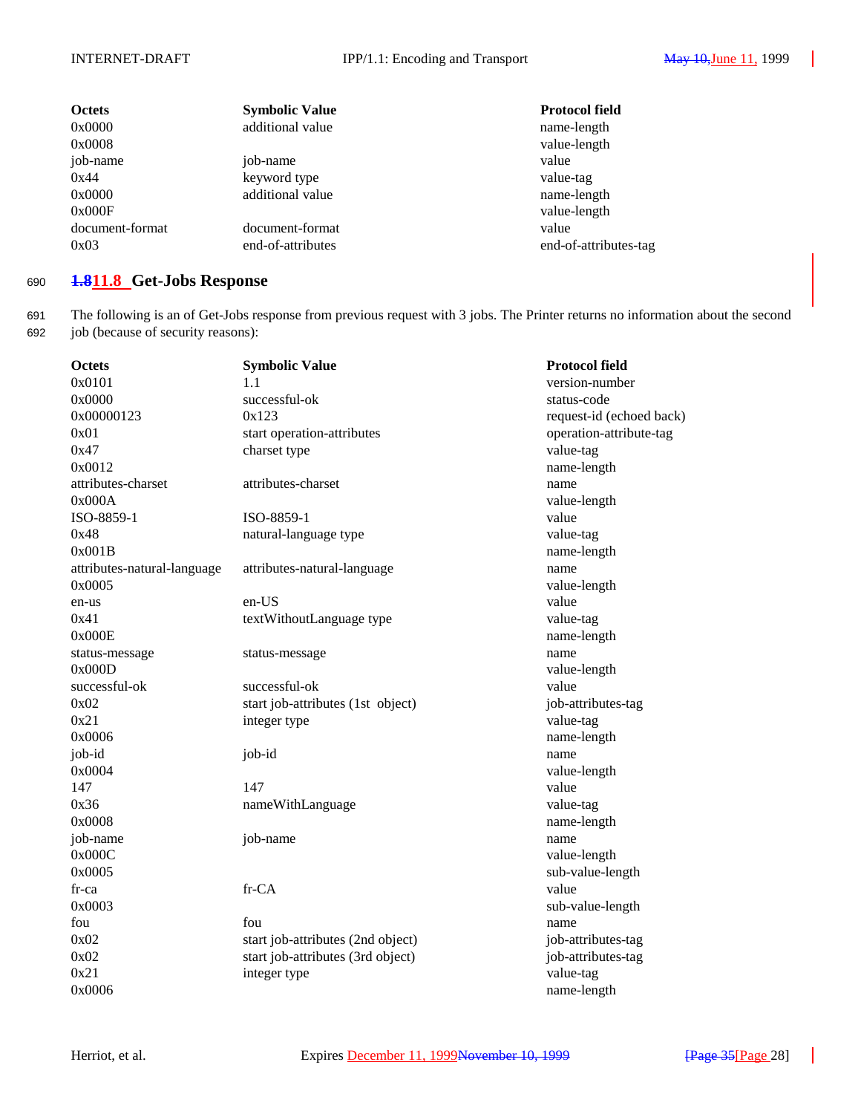| <b>Octets</b><br>0x0000<br>0x0008 | <b>Symbolic Value</b><br>additional value | <b>Protocol field</b><br>name-length<br>value-length |
|-----------------------------------|-------------------------------------------|------------------------------------------------------|
| job-name<br>0x44                  | job-name                                  | value                                                |
| 0x0000                            | keyword type<br>additional value          | value-tag<br>name-length                             |
| 0x000F<br>document-format         | document-format                           | value-length<br>value                                |
| 0x03                              | end-of-attributes                         | end-of-attributes-tag                                |

## <sup>690</sup> **1.811.8 Get-Jobs Response**

691 The following is an of Get-Jobs response from previous request with 3 jobs. The Printer returns no information about the second 692 job (because of security reasons):

| Octets                      | <b>Symbolic Value</b>             | <b>Protocol field</b>    |
|-----------------------------|-----------------------------------|--------------------------|
| 0x0101                      | 1.1                               | version-number           |
| 0x0000                      | successful-ok                     | status-code              |
| 0x00000123                  | 0x123                             | request-id (echoed back) |
| 0x01                        | start operation-attributes        | operation-attribute-tag  |
| 0x47                        | charset type                      | value-tag                |
| 0x0012                      |                                   | name-length              |
| attributes-charset          | attributes-charset                | name                     |
| 0x000A                      |                                   | value-length             |
| ISO-8859-1                  | ISO-8859-1                        | value                    |
| 0x48                        | natural-language type             | value-tag                |
| 0x001B                      |                                   | name-length              |
| attributes-natural-language | attributes-natural-language       | name                     |
| 0x0005                      |                                   | value-length             |
| en-us                       | en-US                             | value                    |
| 0x41                        | textWithoutLanguage type          | value-tag                |
| 0x000E                      |                                   | name-length              |
| status-message              | status-message                    | name                     |
| 0x000D                      |                                   | value-length             |
| successful-ok               | successful-ok                     | value                    |
| 0x02                        | start job-attributes (1st object) | job-attributes-tag       |
| 0x21                        | integer type                      | value-tag                |
| 0x0006                      |                                   | name-length              |
| job-id                      | job-id                            | name                     |
| 0x0004                      |                                   | value-length             |
| 147                         | 147                               | value                    |
| 0x36                        | nameWithLanguage                  | value-tag                |
| 0x0008                      |                                   | name-length              |
| job-name                    | job-name                          | name                     |
| 0x000C                      |                                   | value-length             |
| 0x0005                      |                                   | sub-value-length         |
| fr-ca                       | fr-CA                             | value                    |
| 0x0003                      |                                   | sub-value-length         |
| fou                         | fou                               | name                     |
| 0x02                        | start job-attributes (2nd object) | job-attributes-tag       |
| 0x02                        | start job-attributes (3rd object) | job-attributes-tag       |
| 0x21                        | integer type                      | value-tag                |
| 0x0006                      |                                   | name-length              |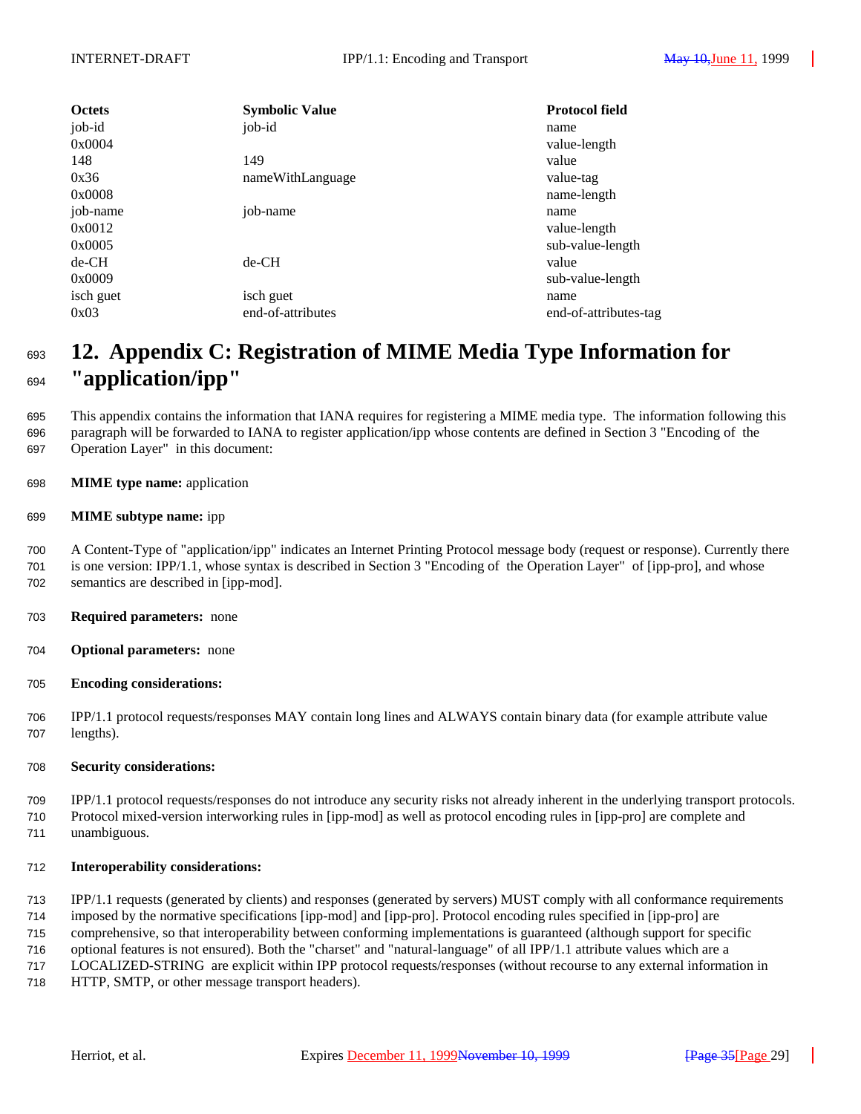| <b>Octets</b> | <b>Symbolic Value</b> | <b>Protocol field</b> |
|---------------|-----------------------|-----------------------|
| job-id        | job-id                | name                  |
| 0x0004        |                       | value-length          |
| 148           | 149                   | value                 |
| 0x36          | nameWithLanguage      | value-tag             |
| 0x0008        |                       | name-length           |
| job-name      | job-name              | name                  |
| 0x0012        |                       | value-length          |
| 0x0005        |                       | sub-value-length      |
| $de-CH$       | $de-CH$               | value                 |
| 0x0009        |                       | sub-value-length      |
| isch guet     | isch guet             | name                  |
| 0x03          | end-of-attributes     | end-of-attributes-tag |

# **12. Appendix C: Registration of MIME Media Type Information for "application/ipp"**

 This appendix contains the information that IANA requires for registering a MIME media type. The information following this paragraph will be forwarded to IANA to register application/ipp whose contents are defined in Section 3 "Encoding of the Operation Layer" in this document:

**MIME type name:** application

## **MIME subtype name:** ipp

 A Content-Type of "application/ipp" indicates an Internet Printing Protocol message body (request or response). Currently there is one version: IPP/1.1, whose syntax is described in Section 3 "Encoding of the Operation Layer" of [ipp-pro], and whose semantics are described in [ipp-mod].

- **Required parameters:** none
- **Optional parameters:** none
- **Encoding considerations:**

 IPP/1.1 protocol requests/responses MAY contain long lines and ALWAYS contain binary data (for example attribute value lengths).

## **Security considerations:**

 IPP/1.1 protocol requests/responses do not introduce any security risks not already inherent in the underlying transport protocols. Protocol mixed-version interworking rules in [ipp-mod] as well as protocol encoding rules in [ipp-pro] are complete and unambiguous.

## **Interoperability considerations:**

IPP/1.1 requests (generated by clients) and responses (generated by servers) MUST comply with all conformance requirements

imposed by the normative specifications [ipp-mod] and [ipp-pro]. Protocol encoding rules specified in [ipp-pro] are

comprehensive, so that interoperability between conforming implementations is guaranteed (although support for specific

optional features is not ensured). Both the "charset" and "natural-language" of all IPP/1.1 attribute values which are a

LOCALIZED-STRING are explicit within IPP protocol requests/responses (without recourse to any external information in

HTTP, SMTP, or other message transport headers).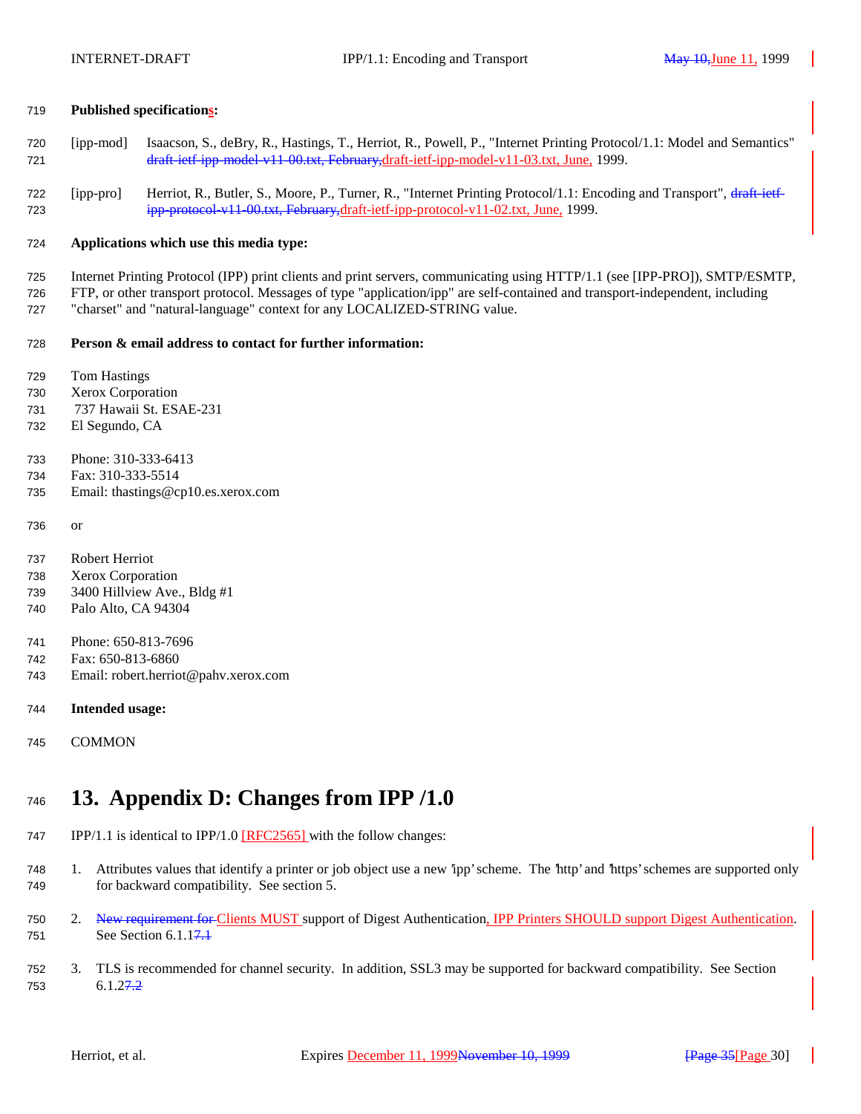### **Published specifications:**

- [ipp-mod] Isaacson, S., deBry, R., Hastings, T., Herriot, R., Powell, P., "Internet Printing Protocol/1.1: Model and Semantics" draft-ietf-ipp-model-v11-00.txt, February,draft-ietf-ipp-model-v11-03.txt, June, 1999.
- [ipp-pro] Herriot, R., Butler, S., Moore, P., Turner, R., "Internet Printing Protocol/1.1: Encoding and Transport", draft-ietf-ipp-protocol-v11-00.txt, February,draft-ietf-ipp-protocol-v11-02.txt, June, 1999.

#### **Applications which use this media type:**

Internet Printing Protocol (IPP) print clients and print servers, communicating using HTTP/1.1 (see [IPP-PRO]), SMTP/ESMTP,

 FTP, or other transport protocol. Messages of type "application/ipp" are self-contained and transport-independent, including "charset" and "natural-language" context for any LOCALIZED-STRING value.

#### **Person & email address to contact for further information:**

- Tom Hastings
- Xerox Corporation
- 737 Hawaii St. ESAE-231
- El Segundo, CA
- Phone: 310-333-6413
- Fax: 310-333-5514
- Email: thastings@cp10.es.xerox.com
- or

 Robert Herriot Xerox Corporation

- 3400 Hillview Ave., Bldg #1
- Palo Alto, CA 94304
- Phone: 650-813-7696
- Fax: 650-813-6860
- Email: robert.herriot@pahv.xerox.com
- **Intended usage:**
- COMMON

# **13. Appendix D: Changes from IPP /1.0**

- 747 IPP/1.1 is identical to IPP/1.0 [RFC2565] with the follow changes:
- 1. Attributes values that identify a printer or job object use a new 'ipp' scheme. The 'http' and 'https' schemes are supported only for backward compatibility. See section 5.
- 750 2. New requirement for Clients MUST support of Digest Authentication, IPP Printers SHOULD support Digest Authentication. 751 See Section 6.1.1<del>7.1</del>
- 3. TLS is recommended for channel security. In addition, SSL3 may be supported for backward compatibility. See Section 6.1.27.2